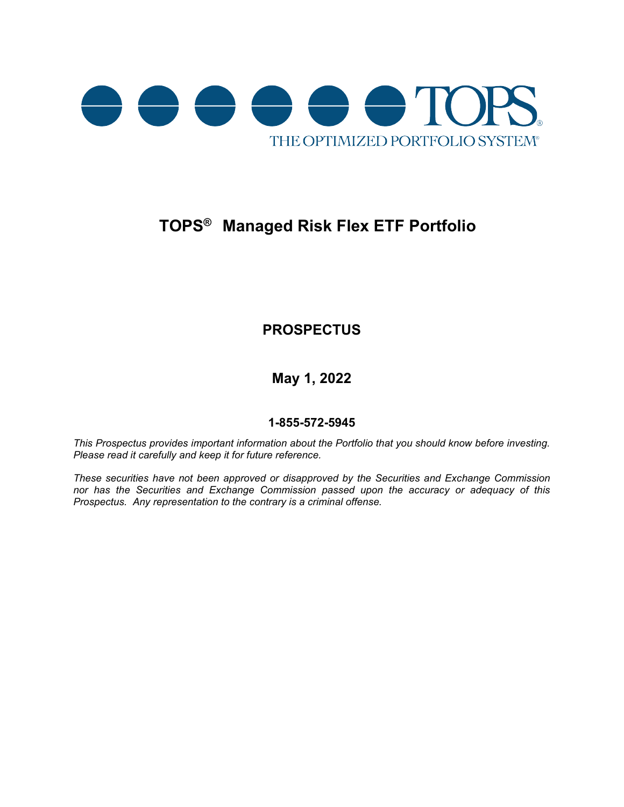

# **TOPS® Managed Risk Flex ETF Portfolio**

# **PROSPECTUS**

**May 1, 2022**

## **1-855-572-5945**

*This Prospectus provides important information about the Portfolio that you should know before investing. Please read it carefully and keep it for future reference.*

*These securities have not been approved or disapproved by the Securities and Exchange Commission nor has the Securities and Exchange Commission passed upon the accuracy or adequacy of this Prospectus. Any representation to the contrary is a criminal offense.*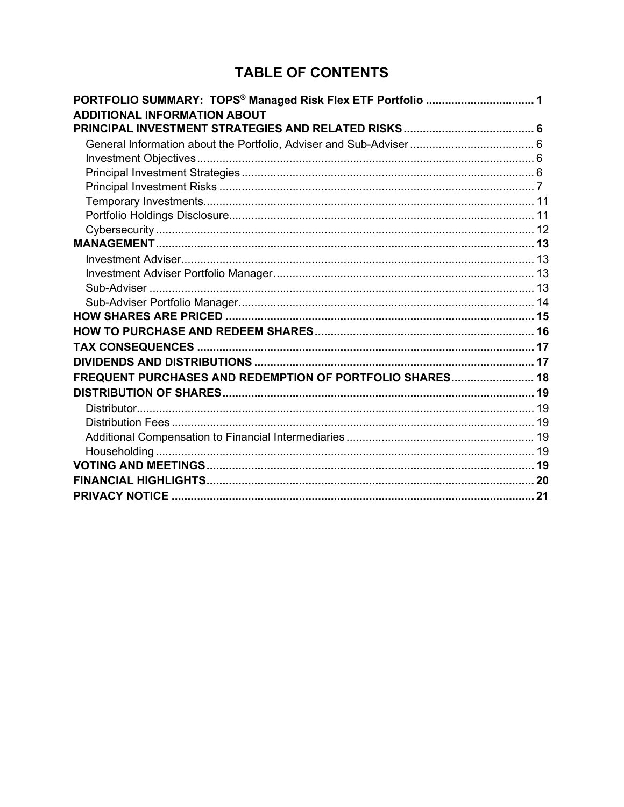# **TABLE OF CONTENTS**

| PORTFOLIO SUMMARY: TOPS <sup>®</sup> Managed Risk Flex ETF Portfolio  1 |  |
|-------------------------------------------------------------------------|--|
| <b>ADDITIONAL INFORMATION ABOUT</b>                                     |  |
|                                                                         |  |
|                                                                         |  |
|                                                                         |  |
|                                                                         |  |
|                                                                         |  |
|                                                                         |  |
|                                                                         |  |
|                                                                         |  |
|                                                                         |  |
|                                                                         |  |
|                                                                         |  |
|                                                                         |  |
|                                                                         |  |
|                                                                         |  |
|                                                                         |  |
|                                                                         |  |
|                                                                         |  |
| FREQUENT PURCHASES AND REDEMPTION OF PORTFOLIO SHARES 18                |  |
|                                                                         |  |
|                                                                         |  |
|                                                                         |  |
|                                                                         |  |
|                                                                         |  |
|                                                                         |  |
|                                                                         |  |
|                                                                         |  |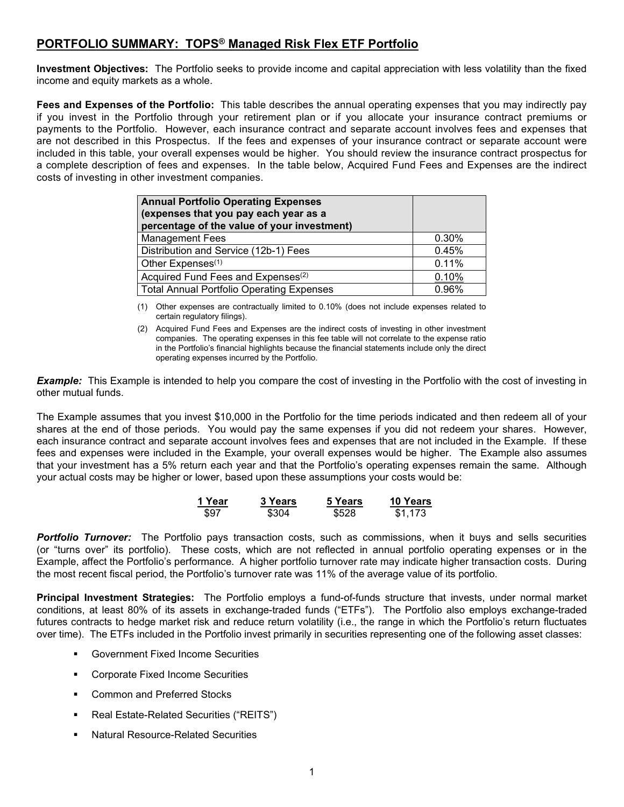# <span id="page-4-0"></span>**PORTFOLIO SUMMARY: TOPS® Managed Risk Flex ETF Portfolio**

**Investment Objectives:** The Portfolio seeks to provide income and capital appreciation with less volatility than the fixed income and equity markets as a whole.

**Fees and Expenses of the Portfolio:** This table describes the annual operating expenses that you may indirectly pay if you invest in the Portfolio through your retirement plan or if you allocate your insurance contract premiums or payments to the Portfolio. However, each insurance contract and separate account involves fees and expenses that are not described in this Prospectus. If the fees and expenses of your insurance contract or separate account were included in this table, your overall expenses would be higher. You should review the insurance contract prospectus for a complete description of fees and expenses. In the table below, Acquired Fund Fees and Expenses are the indirect costs of investing in other investment companies.

| <b>Annual Portfolio Operating Expenses</b><br>(expenses that you pay each year as a<br>percentage of the value of your investment) |       |
|------------------------------------------------------------------------------------------------------------------------------------|-------|
| <b>Management Fees</b>                                                                                                             | 0.30% |
| Distribution and Service (12b-1) Fees                                                                                              | 0.45% |
| Other Expenses <sup>(1)</sup>                                                                                                      | 0.11% |
| Acquired Fund Fees and Expenses <sup>(2)</sup>                                                                                     | 0.10% |
| <b>Total Annual Portfolio Operating Expenses</b>                                                                                   | 0.96% |

(1) Other expenses are contractually limited to 0.10% (does not include expenses related to certain regulatory filings).

(2) Acquired Fund Fees and Expenses are the indirect costs of investing in other investment companies. The operating expenses in this fee table will not correlate to the expense ratio in the Portfolio's financial highlights because the financial statements include only the direct operating expenses incurred by the Portfolio.

*Example:* This Example is intended to help you compare the cost of investing in the Portfolio with the cost of investing in other mutual funds.

The Example assumes that you invest \$10,000 in the Portfolio for the time periods indicated and then redeem all of your shares at the end of those periods. You would pay the same expenses if you did not redeem your shares. However, each insurance contract and separate account involves fees and expenses that are not included in the Example. If these fees and expenses were included in the Example, your overall expenses would be higher. The Example also assumes that your investment has a 5% return each year and that the Portfolio's operating expenses remain the same. Although your actual costs may be higher or lower, based upon these assumptions your costs would be:

| 1 Year | <b>3 Years</b> | 5 Years | 10 Years |
|--------|----------------|---------|----------|
| \$97   | \$304          | \$528   | \$1,173  |

*Portfolio Turnover:* The Portfolio pays transaction costs, such as commissions, when it buys and sells securities (or "turns over" its portfolio). These costs, which are not reflected in annual portfolio operating expenses or in the Example, affect the Portfolio's performance. A higher portfolio turnover rate may indicate higher transaction costs. During the most recent fiscal period, the Portfolio's turnover rate was 11% of the average value of its portfolio.

**Principal Investment Strategies:** The Portfolio employs a fund-of-funds structure that invests, under normal market conditions, at least 80% of its assets in exchange-traded funds ("ETFs"). The Portfolio also employs exchange-traded futures contracts to hedge market risk and reduce return volatility (i.e., the range in which the Portfolio's return fluctuates over time). The ETFs included in the Portfolio invest primarily in securities representing one of the following asset classes:

- Government Fixed Income Securities
- **EXECORDITE:** Corporate Fixed Income Securities
- Common and Preferred Stocks
- Real Estate-Related Securities ("REITS")
- Natural Resource-Related Securities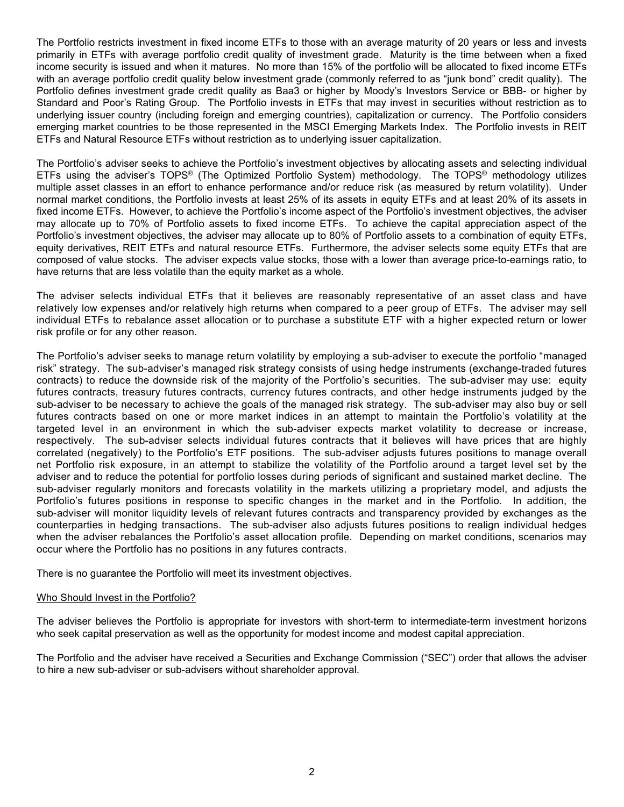The Portfolio restricts investment in fixed income ETFs to those with an average maturity of 20 years or less and invests primarily in ETFs with average portfolio credit quality of investment grade. Maturity is the time between when a fixed income security is issued and when it matures. No more than 15% of the portfolio will be allocated to fixed income ETFs with an average portfolio credit quality below investment grade (commonly referred to as "junk bond" credit quality). The Portfolio defines investment grade credit quality as Baa3 or higher by Moody's Investors Service or BBB- or higher by Standard and Poor's Rating Group. The Portfolio invests in ETFs that may invest in securities without restriction as to underlying issuer country (including foreign and emerging countries), capitalization or currency. The Portfolio considers emerging market countries to be those represented in the MSCI Emerging Markets Index. The Portfolio invests in REIT ETFs and Natural Resource ETFs without restriction as to underlying issuer capitalization.

The Portfolio's adviser seeks to achieve the Portfolio's investment objectives by allocating assets and selecting individual ETFs using the adviser's TOPS® (The Optimized Portfolio System) methodology. The TOPS® methodology utilizes multiple asset classes in an effort to enhance performance and/or reduce risk (as measured by return volatility). Under normal market conditions, the Portfolio invests at least 25% of its assets in equity ETFs and at least 20% of its assets in fixed income ETFs. However, to achieve the Portfolio's income aspect of the Portfolio's investment objectives, the adviser may allocate up to 70% of Portfolio assets to fixed income ETFs. To achieve the capital appreciation aspect of the Portfolio's investment objectives, the adviser may allocate up to 80% of Portfolio assets to a combination of equity ETFs, equity derivatives, REIT ETFs and natural resource ETFs. Furthermore, the adviser selects some equity ETFs that are composed of value stocks. The adviser expects value stocks, those with a lower than average price-to-earnings ratio, to have returns that are less volatile than the equity market as a whole.

The adviser selects individual ETFs that it believes are reasonably representative of an asset class and have relatively low expenses and/or relatively high returns when compared to a peer group of ETFs. The adviser may sell individual ETFs to rebalance asset allocation or to purchase a substitute ETF with a higher expected return or lower risk profile or for any other reason.

The Portfolio's adviser seeks to manage return volatility by employing a sub-adviser to execute the portfolio "managed risk" strategy. The sub-adviser's managed risk strategy consists of using hedge instruments (exchange-traded futures contracts) to reduce the downside risk of the majority of the Portfolio's securities. The sub-adviser may use: equity futures contracts, treasury futures contracts, currency futures contracts, and other hedge instruments judged by the sub-adviser to be necessary to achieve the goals of the managed risk strategy. The sub-adviser may also buy or sell futures contracts based on one or more market indices in an attempt to maintain the Portfolio's volatility at the targeted level in an environment in which the sub-adviser expects market volatility to decrease or increase, respectively. The sub-adviser selects individual futures contracts that it believes will have prices that are highly correlated (negatively) to the Portfolio's ETF positions. The sub-adviser adjusts futures positions to manage overall net Portfolio risk exposure, in an attempt to stabilize the volatility of the Portfolio around a target level set by the adviser and to reduce the potential for portfolio losses during periods of significant and sustained market decline. The sub-adviser regularly monitors and forecasts volatility in the markets utilizing a proprietary model, and adjusts the Portfolio's futures positions in response to specific changes in the market and in the Portfolio. In addition, the sub-adviser will monitor liquidity levels of relevant futures contracts and transparency provided by exchanges as the counterparties in hedging transactions. The sub-adviser also adjusts futures positions to realign individual hedges when the adviser rebalances the Portfolio's asset allocation profile. Depending on market conditions, scenarios may occur where the Portfolio has no positions in any futures contracts.

There is no guarantee the Portfolio will meet its investment objectives.

#### Who Should Invest in the Portfolio?

The adviser believes the Portfolio is appropriate for investors with short-term to intermediate-term investment horizons who seek capital preservation as well as the opportunity for modest income and modest capital appreciation.

The Portfolio and the adviser have received a Securities and Exchange Commission ("SEC") order that allows the adviser to hire a new sub-adviser or sub-advisers without shareholder approval.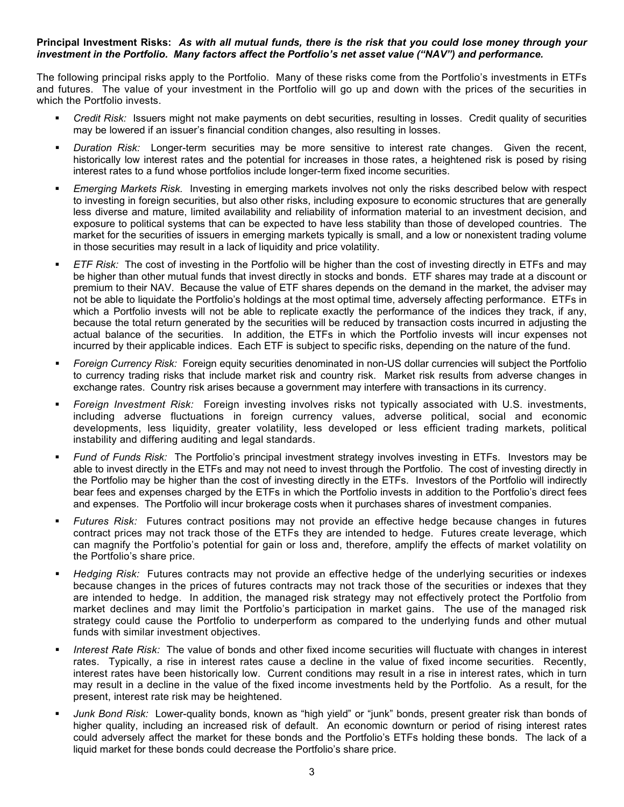#### **Principal Investment Risks:** *As with all mutual funds, there is the risk that you could lose money through your investment in the Portfolio. Many factors affect the Portfolio's net asset value ("NAV") and performance.*

The following principal risks apply to the Portfolio. Many of these risks come from the Portfolio's investments in ETFs and futures. The value of your investment in the Portfolio will go up and down with the prices of the securities in which the Portfolio invests.

- *Credit Risk:* Issuers might not make payments on debt securities, resulting in losses. Credit quality of securities may be lowered if an issuer's financial condition changes, also resulting in losses.
- *Duration Risk:* Longer-term securities may be more sensitive to interest rate changes. Given the recent, historically low interest rates and the potential for increases in those rates, a heightened risk is posed by rising interest rates to a fund whose portfolios include longer-term fixed income securities.
- *Emerging Markets Risk.* Investing in emerging markets involves not only the risks described below with respect to investing in foreign securities, but also other risks, including exposure to economic structures that are generally less diverse and mature, limited availability and reliability of information material to an investment decision, and exposure to political systems that can be expected to have less stability than those of developed countries. The market for the securities of issuers in emerging markets typically is small, and a low or nonexistent trading volume in those securities may result in a lack of liquidity and price volatility.
- *ETF Risk:* The cost of investing in the Portfolio will be higher than the cost of investing directly in ETFs and may be higher than other mutual funds that invest directly in stocks and bonds. ETF shares may trade at a discount or premium to their NAV. Because the value of ETF shares depends on the demand in the market, the adviser may not be able to liquidate the Portfolio's holdings at the most optimal time, adversely affecting performance. ETFs in which a Portfolio invests will not be able to replicate exactly the performance of the indices they track, if any, because the total return generated by the securities will be reduced by transaction costs incurred in adjusting the actual balance of the securities. In addition, the ETFs in which the Portfolio invests will incur expenses not incurred by their applicable indices. Each ETF is subject to specific risks, depending on the nature of the fund.
- *Foreign Currency Risk:* Foreign equity securities denominated in non-US dollar currencies will subject the Portfolio to currency trading risks that include market risk and country risk. Market risk results from adverse changes in exchange rates. Country risk arises because a government may interfere with transactions in its currency.
- *Foreign Investment Risk:* Foreign investing involves risks not typically associated with U.S. investments, including adverse fluctuations in foreign currency values, adverse political, social and economic developments, less liquidity, greater volatility, less developed or less efficient trading markets, political instability and differing auditing and legal standards.
- *Fund of Funds Risk:* The Portfolio's principal investment strategy involves investing in ETFs. Investors may be able to invest directly in the ETFs and may not need to invest through the Portfolio. The cost of investing directly in the Portfolio may be higher than the cost of investing directly in the ETFs. Investors of the Portfolio will indirectly bear fees and expenses charged by the ETFs in which the Portfolio invests in addition to the Portfolio's direct fees and expenses. The Portfolio will incur brokerage costs when it purchases shares of investment companies.
- *Futures Risk:* Futures contract positions may not provide an effective hedge because changes in futures contract prices may not track those of the ETFs they are intended to hedge. Futures create leverage, which can magnify the Portfolio's potential for gain or loss and, therefore, amplify the effects of market volatility on the Portfolio's share price.
- *Hedging Risk:* Futures contracts may not provide an effective hedge of the underlying securities or indexes because changes in the prices of futures contracts may not track those of the securities or indexes that they are intended to hedge. In addition, the managed risk strategy may not effectively protect the Portfolio from market declines and may limit the Portfolio's participation in market gains. The use of the managed risk strategy could cause the Portfolio to underperform as compared to the underlying funds and other mutual funds with similar investment objectives.
- *Interest Rate Risk:* The value of bonds and other fixed income securities will fluctuate with changes in interest rates. Typically, a rise in interest rates cause a decline in the value of fixed income securities. Recently, interest rates have been historically low. Current conditions may result in a rise in interest rates, which in turn may result in a decline in the value of the fixed income investments held by the Portfolio. As a result, for the present, interest rate risk may be heightened.
- *Junk Bond Risk:* Lower-quality bonds, known as "high yield" or "junk" bonds, present greater risk than bonds of higher quality, including an increased risk of default. An economic downturn or period of rising interest rates could adversely affect the market for these bonds and the Portfolio's ETFs holding these bonds. The lack of a liquid market for these bonds could decrease the Portfolio's share price.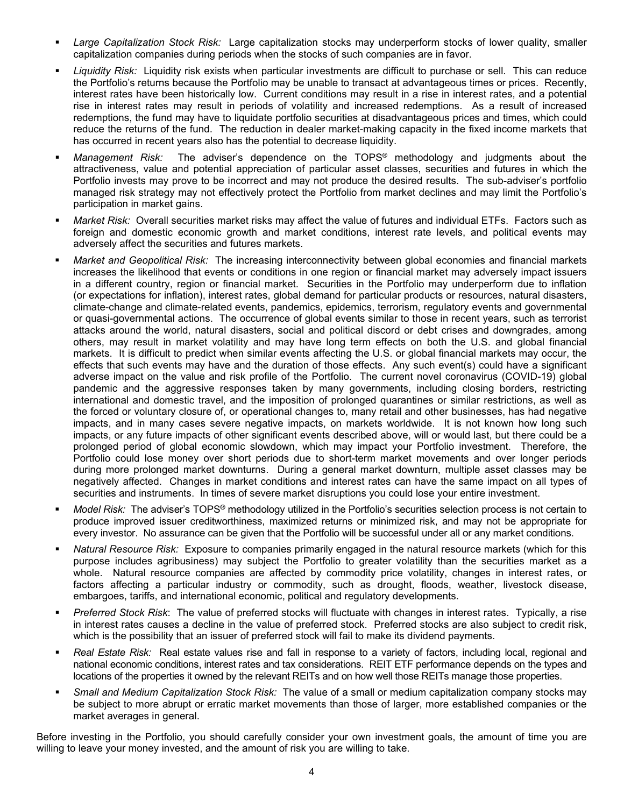- *Large Capitalization Stock Risk:* Large capitalization stocks may underperform stocks of lower quality, smaller capitalization companies during periods when the stocks of such companies are in favor.
- *Liquidity Risk:* Liquidity risk exists when particular investments are difficult to purchase or sell. This can reduce the Portfolio's returns because the Portfolio may be unable to transact at advantageous times or prices. Recently, interest rates have been historically low. Current conditions may result in a rise in interest rates, and a potential rise in interest rates may result in periods of volatility and increased redemptions. As a result of increased redemptions, the fund may have to liquidate portfolio securities at disadvantageous prices and times, which could reduce the returns of the fund. The reduction in dealer market-making capacity in the fixed income markets that has occurred in recent years also has the potential to decrease liquidity.
- *Management Risk:* The adviser's dependence on the TOPS® methodology and judgments about the attractiveness, value and potential appreciation of particular asset classes, securities and futures in which the Portfolio invests may prove to be incorrect and may not produce the desired results. The sub-adviser's portfolio managed risk strategy may not effectively protect the Portfolio from market declines and may limit the Portfolio's participation in market gains.
- *Market Risk:* Overall securities market risks may affect the value of futures and individual ETFs. Factors such as foreign and domestic economic growth and market conditions, interest rate levels, and political events may adversely affect the securities and futures markets.
- *Market and Geopolitical Risk:* The increasing interconnectivity between global economies and financial markets increases the likelihood that events or conditions in one region or financial market may adversely impact issuers in a different country, region or financial market. Securities in the Portfolio may underperform due to inflation (or expectations for inflation), interest rates, global demand for particular products or resources, natural disasters, climate-change and climate-related events, pandemics, epidemics, terrorism, regulatory events and governmental or quasi-governmental actions. The occurrence of global events similar to those in recent years, such as terrorist attacks around the world, natural disasters, social and political discord or debt crises and downgrades, among others, may result in market volatility and may have long term effects on both the U.S. and global financial markets. It is difficult to predict when similar events affecting the U.S. or global financial markets may occur, the effects that such events may have and the duration of those effects. Any such event(s) could have a significant adverse impact on the value and risk profile of the Portfolio. The current novel coronavirus (COVID-19) global pandemic and the aggressive responses taken by many governments, including closing borders, restricting international and domestic travel, and the imposition of prolonged quarantines or similar restrictions, as well as the forced or voluntary closure of, or operational changes to, many retail and other businesses, has had negative impacts, and in many cases severe negative impacts, on markets worldwide. It is not known how long such impacts, or any future impacts of other significant events described above, will or would last, but there could be a prolonged period of global economic slowdown, which may impact your Portfolio investment. Therefore, the Portfolio could lose money over short periods due to short-term market movements and over longer periods during more prolonged market downturns. During a general market downturn, multiple asset classes may be negatively affected. Changes in market conditions and interest rates can have the same impact on all types of securities and instruments. In times of severe market disruptions you could lose your entire investment.
- *Model Risk:* The adviser's TOPS**®** methodology utilized in the Portfolio's securities selection process is not certain to produce improved issuer creditworthiness, maximized returns or minimized risk, and may not be appropriate for every investor. No assurance can be given that the Portfolio will be successful under all or any market conditions.
- *Natural Resource Risk:* Exposure to companies primarily engaged in the natural resource markets (which for this purpose includes agribusiness) may subject the Portfolio to greater volatility than the securities market as a whole. Natural resource companies are affected by commodity price volatility, changes in interest rates, or factors affecting a particular industry or commodity, such as drought, floods, weather, livestock disease, embargoes, tariffs, and international economic, political and regulatory developments.
- *Preferred Stock Risk*: The value of preferred stocks will fluctuate with changes in interest rates. Typically, a rise in interest rates causes a decline in the value of preferred stock. Preferred stocks are also subject to credit risk, which is the possibility that an issuer of preferred stock will fail to make its dividend payments.
- *Real Estate Risk:* Real estate values rise and fall in response to a variety of factors, including local, regional and national economic conditions, interest rates and tax considerations. REIT ETF performance depends on the types and locations of the properties it owned by the relevant REITs and on how well those REITs manage those properties.
- *Small and Medium Capitalization Stock Risk:* The value of a small or medium capitalization company stocks may be subject to more abrupt or erratic market movements than those of larger, more established companies or the market averages in general.

Before investing in the Portfolio, you should carefully consider your own investment goals, the amount of time you are willing to leave your money invested, and the amount of risk you are willing to take.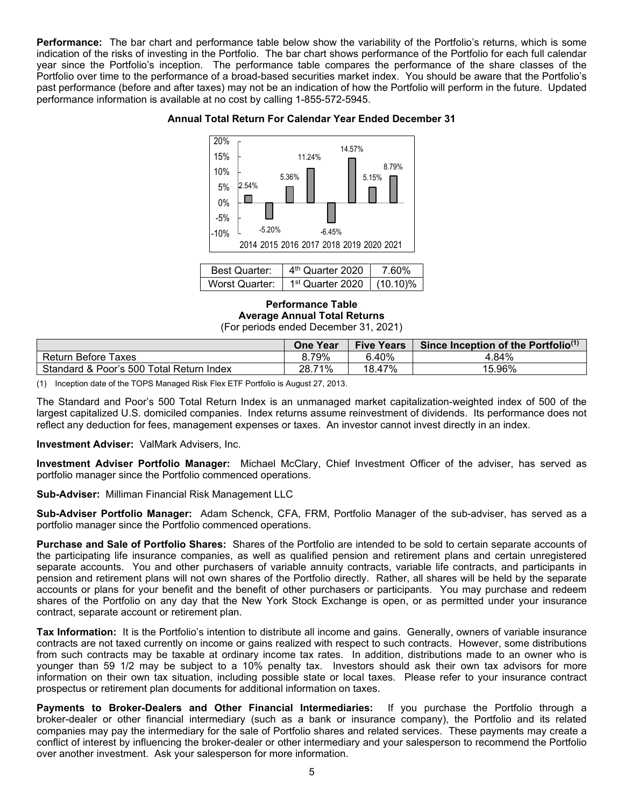**Performance:** The bar chart and performance table below show the variability of the Portfolio's returns, which is some indication of the risks of investing in the Portfolio. The bar chart shows performance of the Portfolio for each full calendar year since the Portfolio's inception. The performance table compares the performance of the share classes of the Portfolio over time to the performance of a broad-based securities market index. You should be aware that the Portfolio's past performance (before and after taxes) may not be an indication of how the Portfolio will perform in the future. Updated performance information is available at no cost by calling 1-855-572-5945.

#### **Annual Total Return For Calendar Year Ended December 31**



| <b>Best Quarter:</b> | 4 <sup>th</sup> Quarter 2020            | 7 60% |
|----------------------|-----------------------------------------|-------|
| Worst Quarter:       | 1 <sup>st</sup> Quarter 2020   (10.10)% |       |

**Performance Table Average Annual Total Returns** (For periods ended December 31, 2021)

|                                          | One Year    | <b>Five Years</b> | Since Inception of the Portfolio <sup>(1)</sup> |
|------------------------------------------|-------------|-------------------|-------------------------------------------------|
| <b>Return Before Taxes</b>               | 8.79%       | 6.40%             | .84%                                            |
| Standard & Poor's 500 Total Return Index | 71%<br>28.7 | 18.47%            | 15.96%                                          |

(1) Inception date of the TOPS Managed Risk Flex ETF Portfolio is August 27, 2013.

The Standard and Poor's 500 Total Return Index is an unmanaged market capitalization-weighted index of 500 of the largest capitalized U.S. domiciled companies. Index returns assume reinvestment of dividends. Its performance does not reflect any deduction for fees, management expenses or taxes. An investor cannot invest directly in an index.

#### **Investment Adviser:** ValMark Advisers, Inc.

**Investment Adviser Portfolio Manager:** Michael McClary, Chief Investment Officer of the adviser, has served as portfolio manager since the Portfolio commenced operations.

**Sub-Adviser:** Milliman Financial Risk Management LLC

**Sub-Adviser Portfolio Manager:** Adam Schenck, CFA, FRM, Portfolio Manager of the sub-adviser, has served as a portfolio manager since the Portfolio commenced operations.

**Purchase and Sale of Portfolio Shares:** Shares of the Portfolio are intended to be sold to certain separate accounts of the participating life insurance companies, as well as qualified pension and retirement plans and certain unregistered separate accounts. You and other purchasers of variable annuity contracts, variable life contracts, and participants in pension and retirement plans will not own shares of the Portfolio directly. Rather, all shares will be held by the separate accounts or plans for your benefit and the benefit of other purchasers or participants. You may purchase and redeem shares of the Portfolio on any day that the New York Stock Exchange is open, or as permitted under your insurance contract, separate account or retirement plan.

**Tax Information:** It is the Portfolio's intention to distribute all income and gains. Generally, owners of variable insurance contracts are not taxed currently on income or gains realized with respect to such contracts. However, some distributions from such contracts may be taxable at ordinary income tax rates. In addition, distributions made to an owner who is younger than 59 1/2 may be subject to a 10% penalty tax. Investors should ask their own tax advisors for more information on their own tax situation, including possible state or local taxes. Please refer to your insurance contract prospectus or retirement plan documents for additional information on taxes.

**Payments to Broker-Dealers and Other Financial Intermediaries:** If you purchase the Portfolio through a broker-dealer or other financial intermediary (such as a bank or insurance company), the Portfolio and its related companies may pay the intermediary for the sale of Portfolio shares and related services. These payments may create a conflict of interest by influencing the broker-dealer or other intermediary and your salesperson to recommend the Portfolio over another investment. Ask your salesperson for more information.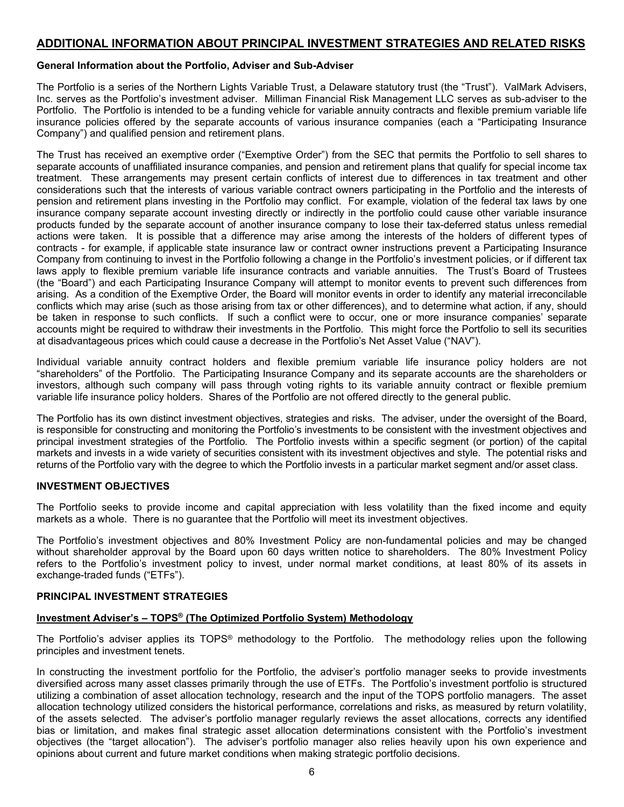#### <span id="page-9-0"></span>**ADDITIONAL INFORMATION ABOUT PRINCIPAL INVESTMENT STRATEGIES AND RELATED RISKS**

#### <span id="page-9-1"></span>**General Information about the Portfolio, Adviser and Sub-Adviser**

The Portfolio is a series of the Northern Lights Variable Trust, a Delaware statutory trust (the "Trust"). ValMark Advisers, Inc. serves as the Portfolio's investment adviser. Milliman Financial Risk Management LLC serves as sub-adviser to the Portfolio. The Portfolio is intended to be a funding vehicle for variable annuity contracts and flexible premium variable life insurance policies offered by the separate accounts of various insurance companies (each a "Participating Insurance Company") and qualified pension and retirement plans.

The Trust has received an exemptive order ("Exemptive Order") from the SEC that permits the Portfolio to sell shares to separate accounts of unaffiliated insurance companies, and pension and retirement plans that qualify for special income tax treatment. These arrangements may present certain conflicts of interest due to differences in tax treatment and other considerations such that the interests of various variable contract owners participating in the Portfolio and the interests of pension and retirement plans investing in the Portfolio may conflict. For example, violation of the federal tax laws by one insurance company separate account investing directly or indirectly in the portfolio could cause other variable insurance products funded by the separate account of another insurance company to lose their tax-deferred status unless remedial actions were taken. It is possible that a difference may arise among the interests of the holders of different types of contracts - for example, if applicable state insurance law or contract owner instructions prevent a Participating Insurance Company from continuing to invest in the Portfolio following a change in the Portfolio's investment policies, or if different tax laws apply to flexible premium variable life insurance contracts and variable annuities. The Trust's Board of Trustees (the "Board") and each Participating Insurance Company will attempt to monitor events to prevent such differences from arising. As a condition of the Exemptive Order, the Board will monitor events in order to identify any material irreconcilable conflicts which may arise (such as those arising from tax or other differences), and to determine what action, if any, should be taken in response to such conflicts. If such a conflict were to occur, one or more insurance companies' separate accounts might be required to withdraw their investments in the Portfolio. This might force the Portfolio to sell its securities at disadvantageous prices which could cause a decrease in the Portfolio's Net Asset Value ("NAV").

Individual variable annuity contract holders and flexible premium variable life insurance policy holders are not "shareholders" of the Portfolio. The Participating Insurance Company and its separate accounts are the shareholders or investors, although such company will pass through voting rights to its variable annuity contract or flexible premium variable life insurance policy holders. Shares of the Portfolio are not offered directly to the general public.

The Portfolio has its own distinct investment objectives, strategies and risks. The adviser, under the oversight of the Board, is responsible for constructing and monitoring the Portfolio's investments to be consistent with the investment objectives and principal investment strategies of the Portfolio. The Portfolio invests within a specific segment (or portion) of the capital markets and invests in a wide variety of securities consistent with its investment objectives and style. The potential risks and returns of the Portfolio vary with the degree to which the Portfolio invests in a particular market segment and/or asset class.

#### <span id="page-9-2"></span>**INVESTMENT OBJECTIVES**

The Portfolio seeks to provide income and capital appreciation with less volatility than the fixed income and equity markets as a whole. There is no guarantee that the Portfolio will meet its investment objectives.

The Portfolio's investment objectives and 80% Investment Policy are non-fundamental policies and may be changed without shareholder approval by the Board upon 60 days written notice to shareholders. The 80% Investment Policy refers to the Portfolio's investment policy to invest, under normal market conditions, at least 80% of its assets in exchange-traded funds ("ETFs").

#### <span id="page-9-3"></span>**PRINCIPAL INVESTMENT STRATEGIES**

#### **Investment Adviser's – TOPS® (The Optimized Portfolio System) Methodology**

The Portfolio's adviser applies its TOPS® methodology to the Portfolio. The methodology relies upon the following principles and investment tenets.

In constructing the investment portfolio for the Portfolio, the adviser's portfolio manager seeks to provide investments diversified across many asset classes primarily through the use of ETFs. The Portfolio's investment portfolio is structured utilizing a combination of asset allocation technology, research and the input of the TOPS portfolio managers. The asset allocation technology utilized considers the historical performance, correlations and risks, as measured by return volatility, of the assets selected. The adviser's portfolio manager regularly reviews the asset allocations, corrects any identified bias or limitation, and makes final strategic asset allocation determinations consistent with the Portfolio's investment objectives (the "target allocation"). The adviser's portfolio manager also relies heavily upon his own experience and opinions about current and future market conditions when making strategic portfolio decisions.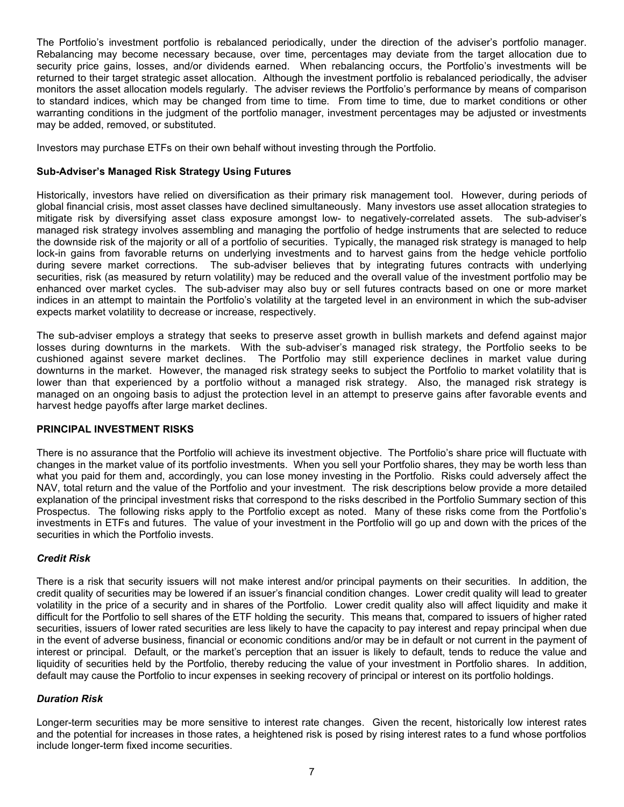The Portfolio's investment portfolio is rebalanced periodically, under the direction of the adviser's portfolio manager. Rebalancing may become necessary because, over time, percentages may deviate from the target allocation due to security price gains, losses, and/or dividends earned. When rebalancing occurs, the Portfolio's investments will be returned to their target strategic asset allocation. Although the investment portfolio is rebalanced periodically, the adviser monitors the asset allocation models regularly. The adviser reviews the Portfolio's performance by means of comparison to standard indices, which may be changed from time to time. From time to time, due to market conditions or other warranting conditions in the judgment of the portfolio manager, investment percentages may be adjusted or investments may be added, removed, or substituted.

Investors may purchase ETFs on their own behalf without investing through the Portfolio.

#### **Sub-Adviser's Managed Risk Strategy Using Futures**

Historically, investors have relied on diversification as their primary risk management tool. However, during periods of global financial crisis, most asset classes have declined simultaneously. Many investors use asset allocation strategies to mitigate risk by diversifying asset class exposure amongst low- to negatively-correlated assets. The sub-adviser's managed risk strategy involves assembling and managing the portfolio of hedge instruments that are selected to reduce the downside risk of the majority or all of a portfolio of securities. Typically, the managed risk strategy is managed to help lock-in gains from favorable returns on underlying investments and to harvest gains from the hedge vehicle portfolio during severe market corrections. The sub-adviser believes that by integrating futures contracts with underlying securities, risk (as measured by return volatility) may be reduced and the overall value of the investment portfolio may be enhanced over market cycles. The sub-adviser may also buy or sell futures contracts based on one or more market indices in an attempt to maintain the Portfolio's volatility at the targeted level in an environment in which the sub-adviser expects market volatility to decrease or increase, respectively.

The sub-adviser employs a strategy that seeks to preserve asset growth in bullish markets and defend against major losses during downturns in the markets. With the sub-adviser's managed risk strategy, the Portfolio seeks to be cushioned against severe market declines. The Portfolio may still experience declines in market value during downturns in the market. However, the managed risk strategy seeks to subject the Portfolio to market volatility that is lower than that experienced by a portfolio without a managed risk strategy. Also, the managed risk strategy is managed on an ongoing basis to adjust the protection level in an attempt to preserve gains after favorable events and harvest hedge payoffs after large market declines.

#### <span id="page-10-0"></span>**PRINCIPAL INVESTMENT RISKS**

There is no assurance that the Portfolio will achieve its investment objective. The Portfolio's share price will fluctuate with changes in the market value of its portfolio investments. When you sell your Portfolio shares, they may be worth less than what you paid for them and, accordingly, you can lose money investing in the Portfolio. Risks could adversely affect the NAV, total return and the value of the Portfolio and your investment. The risk descriptions below provide a more detailed explanation of the principal investment risks that correspond to the risks described in the Portfolio Summary section of this Prospectus. The following risks apply to the Portfolio except as noted. Many of these risks come from the Portfolio's investments in ETFs and futures. The value of your investment in the Portfolio will go up and down with the prices of the securities in which the Portfolio invests.

#### *Credit Risk*

There is a risk that security issuers will not make interest and/or principal payments on their securities. In addition, the credit quality of securities may be lowered if an issuer's financial condition changes. Lower credit quality will lead to greater volatility in the price of a security and in shares of the Portfolio. Lower credit quality also will affect liquidity and make it difficult for the Portfolio to sell shares of the ETF holding the security. This means that, compared to issuers of higher rated securities, issuers of lower rated securities are less likely to have the capacity to pay interest and repay principal when due in the event of adverse business, financial or economic conditions and/or may be in default or not current in the payment of interest or principal. Default, or the market's perception that an issuer is likely to default, tends to reduce the value and liquidity of securities held by the Portfolio, thereby reducing the value of your investment in Portfolio shares. In addition, default may cause the Portfolio to incur expenses in seeking recovery of principal or interest on its portfolio holdings.

#### *Duration Risk*

Longer-term securities may be more sensitive to interest rate changes. Given the recent, historically low interest rates and the potential for increases in those rates, a heightened risk is posed by rising interest rates to a fund whose portfolios include longer-term fixed income securities.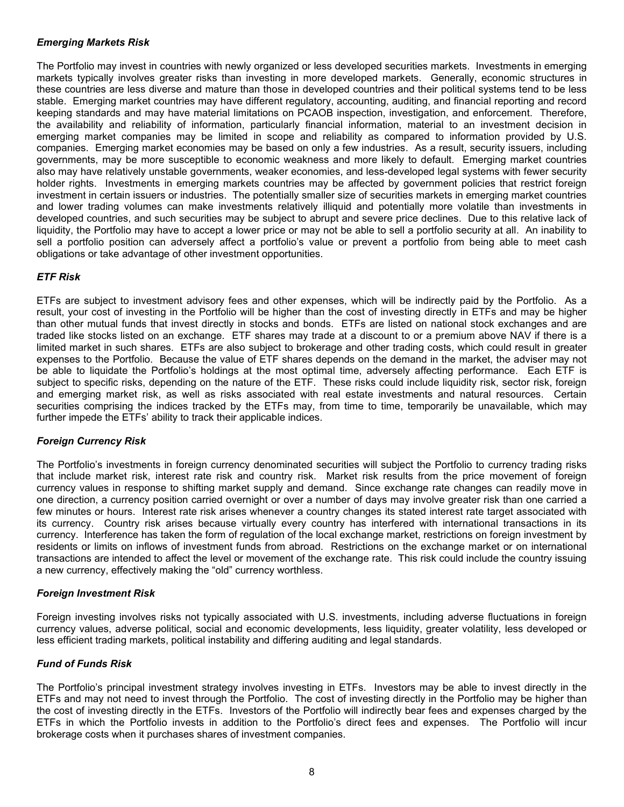#### *Emerging Markets Risk*

The Portfolio may invest in countries with newly organized or less developed securities markets. Investments in emerging markets typically involves greater risks than investing in more developed markets. Generally, economic structures in these countries are less diverse and mature than those in developed countries and their political systems tend to be less stable. Emerging market countries may have different regulatory, accounting, auditing, and financial reporting and record keeping standards and may have material limitations on PCAOB inspection, investigation, and enforcement. Therefore, the availability and reliability of information, particularly financial information, material to an investment decision in emerging market companies may be limited in scope and reliability as compared to information provided by U.S. companies. Emerging market economies may be based on only a few industries. As a result, security issuers, including governments, may be more susceptible to economic weakness and more likely to default. Emerging market countries also may have relatively unstable governments, weaker economies, and less-developed legal systems with fewer security holder rights. Investments in emerging markets countries may be affected by government policies that restrict foreign investment in certain issuers or industries. The potentially smaller size of securities markets in emerging market countries and lower trading volumes can make investments relatively illiquid and potentially more volatile than investments in developed countries, and such securities may be subject to abrupt and severe price declines. Due to this relative lack of liquidity, the Portfolio may have to accept a lower price or may not be able to sell a portfolio security at all. An inability to sell a portfolio position can adversely affect a portfolio's value or prevent a portfolio from being able to meet cash obligations or take advantage of other investment opportunities.

#### *ETF Risk*

ETFs are subject to investment advisory fees and other expenses, which will be indirectly paid by the Portfolio. As a result, your cost of investing in the Portfolio will be higher than the cost of investing directly in ETFs and may be higher than other mutual funds that invest directly in stocks and bonds. ETFs are listed on national stock exchanges and are traded like stocks listed on an exchange. ETF shares may trade at a discount to or a premium above NAV if there is a limited market in such shares. ETFs are also subject to brokerage and other trading costs, which could result in greater expenses to the Portfolio. Because the value of ETF shares depends on the demand in the market, the adviser may not be able to liquidate the Portfolio's holdings at the most optimal time, adversely affecting performance. Each ETF is subject to specific risks, depending on the nature of the ETF. These risks could include liquidity risk, sector risk, foreign and emerging market risk, as well as risks associated with real estate investments and natural resources. Certain securities comprising the indices tracked by the ETFs may, from time to time, temporarily be unavailable, which may further impede the ETFs' ability to track their applicable indices.

#### *Foreign Currency Risk*

The Portfolio's investments in foreign currency denominated securities will subject the Portfolio to currency trading risks that include market risk, interest rate risk and country risk. Market risk results from the price movement of foreign currency values in response to shifting market supply and demand. Since exchange rate changes can readily move in one direction, a currency position carried overnight or over a number of days may involve greater risk than one carried a few minutes or hours. Interest rate risk arises whenever a country changes its stated interest rate target associated with its currency. Country risk arises because virtually every country has interfered with international transactions in its currency. Interference has taken the form of regulation of the local exchange market, restrictions on foreign investment by residents or limits on inflows of investment funds from abroad. Restrictions on the exchange market or on international transactions are intended to affect the level or movement of the exchange rate. This risk could include the country issuing a new currency, effectively making the "old" currency worthless.

#### *Foreign Investment Risk*

Foreign investing involves risks not typically associated with U.S. investments, including adverse fluctuations in foreign currency values, adverse political, social and economic developments, less liquidity, greater volatility, less developed or less efficient trading markets, political instability and differing auditing and legal standards.

#### *Fund of Funds Risk*

The Portfolio's principal investment strategy involves investing in ETFs. Investors may be able to invest directly in the ETFs and may not need to invest through the Portfolio. The cost of investing directly in the Portfolio may be higher than the cost of investing directly in the ETFs. Investors of the Portfolio will indirectly bear fees and expenses charged by the ETFs in which the Portfolio invests in addition to the Portfolio's direct fees and expenses. The Portfolio will incur brokerage costs when it purchases shares of investment companies.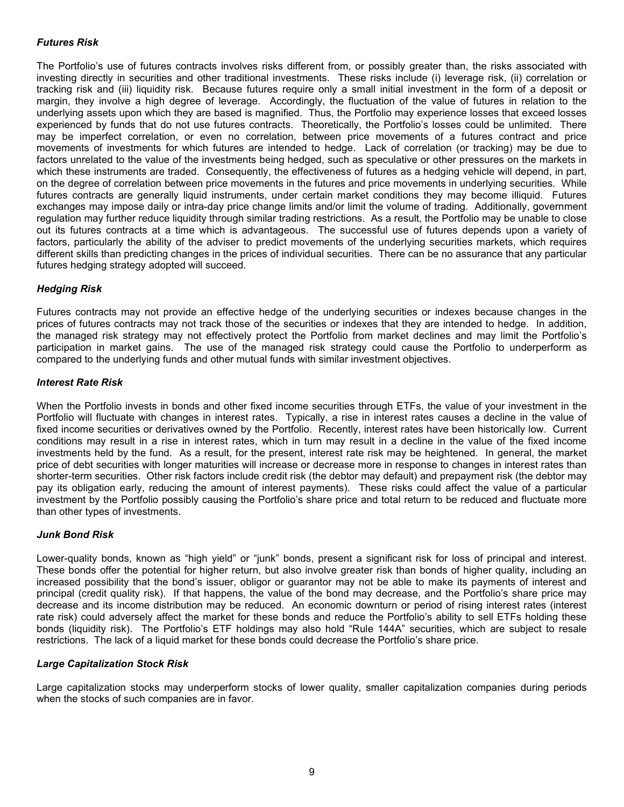#### *Futures Risk*

The Portfolio's use of futures contracts involves risks different from, or possibly greater than, the risks associated with investing directly in securities and other traditional investments. These risks include (i) leverage risk, (ii) correlation or tracking risk and (iii) liquidity risk. Because futures require only a small initial investment in the form of a deposit or margin, they involve a high degree of leverage. Accordingly, the fluctuation of the value of futures in relation to the underlying assets upon which they are based is magnified. Thus, the Portfolio may experience losses that exceed losses experienced by funds that do not use futures contracts. Theoretically, the Portfolio's losses could be unlimited. There may be imperfect correlation, or even no correlation, between price movements of a futures contract and price movements of investments for which futures are intended to hedge. Lack of correlation (or tracking) may be due to factors unrelated to the value of the investments being hedged, such as speculative or other pressures on the markets in which these instruments are traded. Consequently, the effectiveness of futures as a hedging vehicle will depend, in part, on the degree of correlation between price movements in the futures and price movements in underlying securities. While futures contracts are generally liquid instruments, under certain market conditions they may become illiquid. Futures exchanges may impose daily or intra-day price change limits and/or limit the volume of trading. Additionally, government regulation may further reduce liquidity through similar trading restrictions. As a result, the Portfolio may be unable to close out its futures contracts at a time which is advantageous. The successful use of futures depends upon a variety of factors, particularly the ability of the adviser to predict movements of the underlying securities markets, which requires different skills than predicting changes in the prices of individual securities. There can be no assurance that any particular futures hedging strategy adopted will succeed.

#### *Hedging Risk*

Futures contracts may not provide an effective hedge of the underlying securities or indexes because changes in the prices of futures contracts may not track those of the securities or indexes that they are intended to hedge. In addition, the managed risk strategy may not effectively protect the Portfolio from market declines and may limit the Portfolio's participation in market gains. The use of the managed risk strategy could cause the Portfolio to underperform as compared to the underlying funds and other mutual funds with similar investment objectives.

#### *Interest Rate Risk*

When the Portfolio invests in bonds and other fixed income securities through ETFs, the value of your investment in the Portfolio will fluctuate with changes in interest rates. Typically, a rise in interest rates causes a decline in the value of fixed income securities or derivatives owned by the Portfolio. Recently, interest rates have been historically low. Current conditions may result in a rise in interest rates, which in turn may result in a decline in the value of the fixed income investments held by the fund. As a result, for the present, interest rate risk may be heightened. In general, the market price of debt securities with longer maturities will increase or decrease more in response to changes in interest rates than shorter-term securities. Other risk factors include credit risk (the debtor may default) and prepayment risk (the debtor may pay its obligation early, reducing the amount of interest payments). These risks could affect the value of a particular investment by the Portfolio possibly causing the Portfolio's share price and total return to be reduced and fluctuate more than other types of investments.

#### *Junk Bond Risk*

Lower-quality bonds, known as "high yield" or "junk" bonds, present a significant risk for loss of principal and interest. These bonds offer the potential for higher return, but also involve greater risk than bonds of higher quality, including an increased possibility that the bond's issuer, obligor or guarantor may not be able to make its payments of interest and principal (credit quality risk). If that happens, the value of the bond may decrease, and the Portfolio's share price may decrease and its income distribution may be reduced. An economic downturn or period of rising interest rates (interest rate risk) could adversely affect the market for these bonds and reduce the Portfolio's ability to sell ETFs holding these bonds (liquidity risk). The Portfolio's ETF holdings may also hold "Rule 144A" securities, which are subject to resale restrictions. The lack of a liquid market for these bonds could decrease the Portfolio's share price.

#### *Large Capitalization Stock Risk*

Large capitalization stocks may underperform stocks of lower quality, smaller capitalization companies during periods when the stocks of such companies are in favor.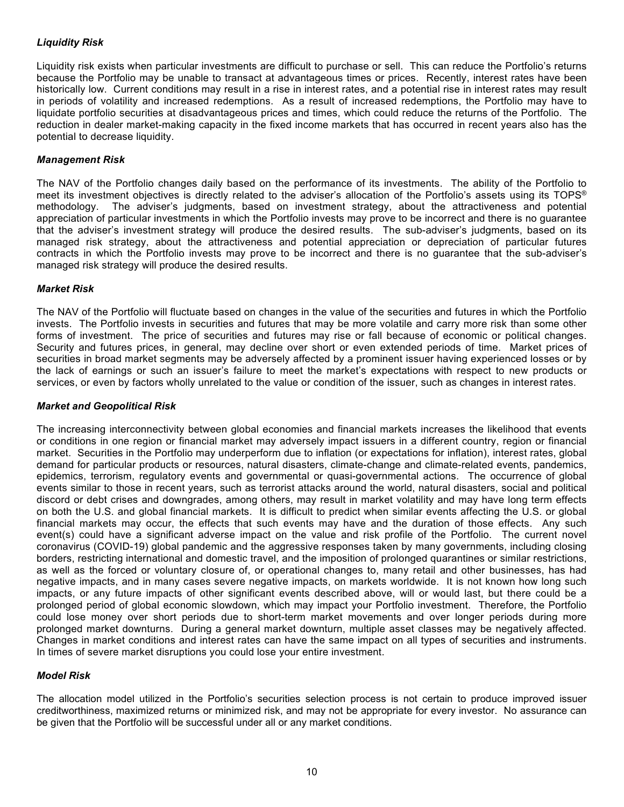#### *Liquidity Risk*

Liquidity risk exists when particular investments are difficult to purchase or sell. This can reduce the Portfolio's returns because the Portfolio may be unable to transact at advantageous times or prices. Recently, interest rates have been historically low. Current conditions may result in a rise in interest rates, and a potential rise in interest rates may result in periods of volatility and increased redemptions. As a result of increased redemptions, the Portfolio may have to liquidate portfolio securities at disadvantageous prices and times, which could reduce the returns of the Portfolio. The reduction in dealer market-making capacity in the fixed income markets that has occurred in recent years also has the potential to decrease liquidity.

#### *Management Risk*

The NAV of the Portfolio changes daily based on the performance of its investments. The ability of the Portfolio to meet its investment objectives is directly related to the adviser's allocation of the Portfolio's assets using its TOPS® methodology. The adviser's judgments, based on investment strategy, about the attractiveness and potential appreciation of particular investments in which the Portfolio invests may prove to be incorrect and there is no guarantee that the adviser's investment strategy will produce the desired results. The sub-adviser's judgments, based on its managed risk strategy, about the attractiveness and potential appreciation or depreciation of particular futures contracts in which the Portfolio invests may prove to be incorrect and there is no guarantee that the sub-adviser's managed risk strategy will produce the desired results.

#### *Market Risk*

The NAV of the Portfolio will fluctuate based on changes in the value of the securities and futures in which the Portfolio invests. The Portfolio invests in securities and futures that may be more volatile and carry more risk than some other forms of investment. The price of securities and futures may rise or fall because of economic or political changes. Security and futures prices, in general, may decline over short or even extended periods of time. Market prices of securities in broad market segments may be adversely affected by a prominent issuer having experienced losses or by the lack of earnings or such an issuer's failure to meet the market's expectations with respect to new products or services, or even by factors wholly unrelated to the value or condition of the issuer, such as changes in interest rates.

#### *Market and Geopolitical Risk*

The increasing interconnectivity between global economies and financial markets increases the likelihood that events or conditions in one region or financial market may adversely impact issuers in a different country, region or financial market. Securities in the Portfolio may underperform due to inflation (or expectations for inflation), interest rates, global demand for particular products or resources, natural disasters, climate-change and climate-related events, pandemics, epidemics, terrorism, regulatory events and governmental or quasi-governmental actions. The occurrence of global events similar to those in recent years, such as terrorist attacks around the world, natural disasters, social and political discord or debt crises and downgrades, among others, may result in market volatility and may have long term effects on both the U.S. and global financial markets. It is difficult to predict when similar events affecting the U.S. or global financial markets may occur, the effects that such events may have and the duration of those effects. Any such event(s) could have a significant adverse impact on the value and risk profile of the Portfolio. The current novel coronavirus (COVID-19) global pandemic and the aggressive responses taken by many governments, including closing borders, restricting international and domestic travel, and the imposition of prolonged quarantines or similar restrictions, as well as the forced or voluntary closure of, or operational changes to, many retail and other businesses, has had negative impacts, and in many cases severe negative impacts, on markets worldwide. It is not known how long such impacts, or any future impacts of other significant events described above, will or would last, but there could be a prolonged period of global economic slowdown, which may impact your Portfolio investment. Therefore, the Portfolio could lose money over short periods due to short-term market movements and over longer periods during more prolonged market downturns. During a general market downturn, multiple asset classes may be negatively affected. Changes in market conditions and interest rates can have the same impact on all types of securities and instruments. In times of severe market disruptions you could lose your entire investment.

#### *Model Risk*

The allocation model utilized in the Portfolio's securities selection process is not certain to produce improved issuer creditworthiness, maximized returns or minimized risk, and may not be appropriate for every investor. No assurance can be given that the Portfolio will be successful under all or any market conditions.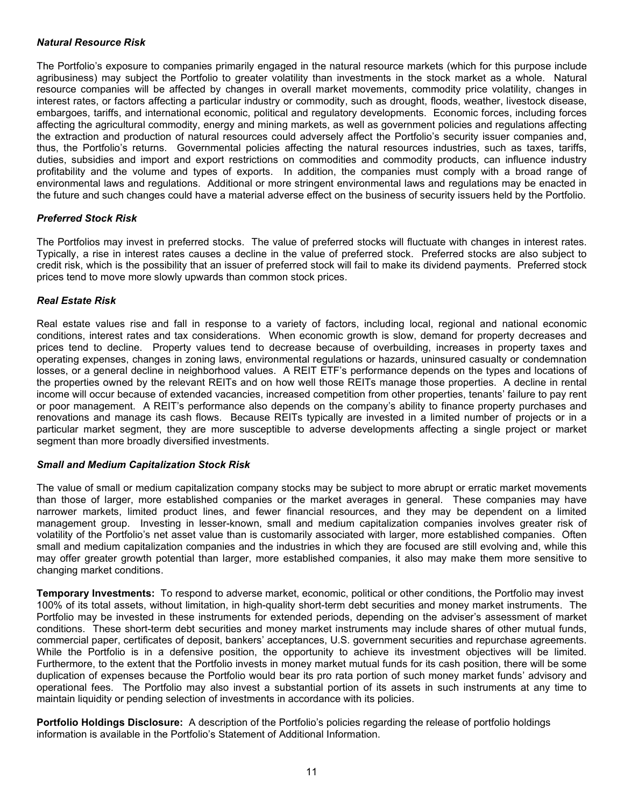#### *Natural Resource Risk*

The Portfolio's exposure to companies primarily engaged in the natural resource markets (which for this purpose include agribusiness) may subject the Portfolio to greater volatility than investments in the stock market as a whole. Natural resource companies will be affected by changes in overall market movements, commodity price volatility, changes in interest rates, or factors affecting a particular industry or commodity, such as drought, floods, weather, livestock disease, embargoes, tariffs, and international economic, political and regulatory developments. Economic forces, including forces affecting the agricultural commodity, energy and mining markets, as well as government policies and regulations affecting the extraction and production of natural resources could adversely affect the Portfolio's security issuer companies and, thus, the Portfolio's returns. Governmental policies affecting the natural resources industries, such as taxes, tariffs, duties, subsidies and import and export restrictions on commodities and commodity products, can influence industry profitability and the volume and types of exports. In addition, the companies must comply with a broad range of environmental laws and regulations. Additional or more stringent environmental laws and regulations may be enacted in the future and such changes could have a material adverse effect on the business of security issuers held by the Portfolio.

#### *Preferred Stock Risk*

The Portfolios may invest in preferred stocks. The value of preferred stocks will fluctuate with changes in interest rates. Typically, a rise in interest rates causes a decline in the value of preferred stock. Preferred stocks are also subject to credit risk, which is the possibility that an issuer of preferred stock will fail to make its dividend payments. Preferred stock prices tend to move more slowly upwards than common stock prices.

#### *Real Estate Risk*

Real estate values rise and fall in response to a variety of factors, including local, regional and national economic conditions, interest rates and tax considerations. When economic growth is slow, demand for property decreases and prices tend to decline. Property values tend to decrease because of overbuilding, increases in property taxes and operating expenses, changes in zoning laws, environmental regulations or hazards, uninsured casualty or condemnation losses, or a general decline in neighborhood values. A REIT ETF's performance depends on the types and locations of the properties owned by the relevant REITs and on how well those REITs manage those properties. A decline in rental income will occur because of extended vacancies, increased competition from other properties, tenants' failure to pay rent or poor management. A REIT's performance also depends on the company's ability to finance property purchases and renovations and manage its cash flows. Because REITs typically are invested in a limited number of projects or in a particular market segment, they are more susceptible to adverse developments affecting a single project or market segment than more broadly diversified investments.

#### *Small and Medium Capitalization Stock Risk*

The value of small or medium capitalization company stocks may be subject to more abrupt or erratic market movements than those of larger, more established companies or the market averages in general. These companies may have narrower markets, limited product lines, and fewer financial resources, and they may be dependent on a limited management group. Investing in lesser-known, small and medium capitalization companies involves greater risk of volatility of the Portfolio's net asset value than is customarily associated with larger, more established companies. Often small and medium capitalization companies and the industries in which they are focused are still evolving and, while this may offer greater growth potential than larger, more established companies, it also may make them more sensitive to changing market conditions.

<span id="page-14-0"></span>**Temporary Investments:** To respond to adverse market, economic, political or other conditions, the Portfolio may invest 100% of its total assets, without limitation, in high-quality short-term debt securities and money market instruments. The Portfolio may be invested in these instruments for extended periods, depending on the adviser's assessment of market conditions. These short-term debt securities and money market instruments may include shares of other mutual funds, commercial paper, certificates of deposit, bankers' acceptances, U.S. government securities and repurchase agreements. While the Portfolio is in a defensive position, the opportunity to achieve its investment objectives will be limited. Furthermore, to the extent that the Portfolio invests in money market mutual funds for its cash position, there will be some duplication of expenses because the Portfolio would bear its pro rata portion of such money market funds' advisory and operational fees. The Portfolio may also invest a substantial portion of its assets in such instruments at any time to maintain liquidity or pending selection of investments in accordance with its policies.

<span id="page-14-1"></span>**Portfolio Holdings Disclosure:** A description of the Portfolio's policies regarding the release of portfolio holdings information is available in the Portfolio's Statement of Additional Information.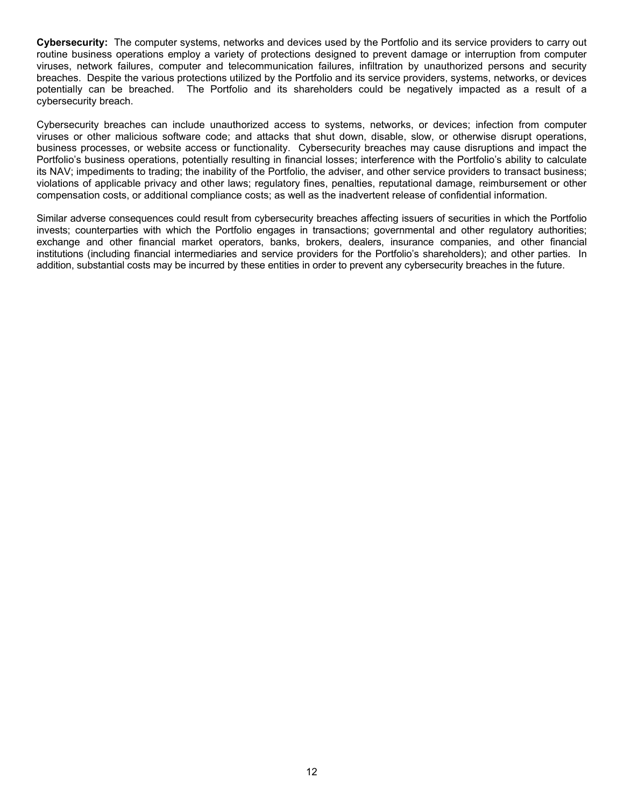<span id="page-15-0"></span>**Cybersecurity:** The computer systems, networks and devices used by the Portfolio and its service providers to carry out routine business operations employ a variety of protections designed to prevent damage or interruption from computer viruses, network failures, computer and telecommunication failures, infiltration by unauthorized persons and security breaches. Despite the various protections utilized by the Portfolio and its service providers, systems, networks, or devices potentially can be breached. The Portfolio and its shareholders could be negatively impacted as a result of a cybersecurity breach.

Cybersecurity breaches can include unauthorized access to systems, networks, or devices; infection from computer viruses or other malicious software code; and attacks that shut down, disable, slow, or otherwise disrupt operations, business processes, or website access or functionality. Cybersecurity breaches may cause disruptions and impact the Portfolio's business operations, potentially resulting in financial losses; interference with the Portfolio's ability to calculate its NAV; impediments to trading; the inability of the Portfolio, the adviser, and other service providers to transact business; violations of applicable privacy and other laws; regulatory fines, penalties, reputational damage, reimbursement or other compensation costs, or additional compliance costs; as well as the inadvertent release of confidential information.

Similar adverse consequences could result from cybersecurity breaches affecting issuers of securities in which the Portfolio invests; counterparties with which the Portfolio engages in transactions; governmental and other regulatory authorities; exchange and other financial market operators, banks, brokers, dealers, insurance companies, and other financial institutions (including financial intermediaries and service providers for the Portfolio's shareholders); and other parties. In addition, substantial costs may be incurred by these entities in order to prevent any cybersecurity breaches in the future.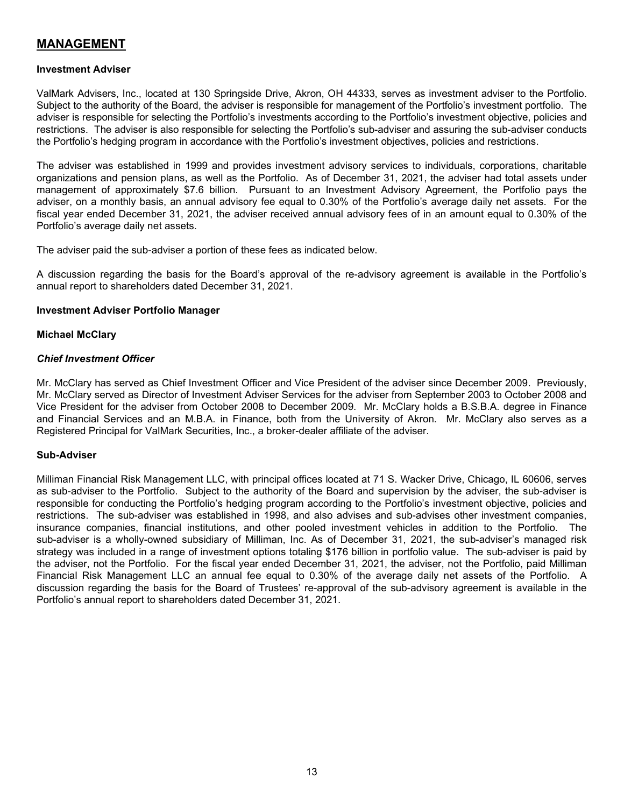# <span id="page-16-0"></span>**MANAGEMENT**

#### <span id="page-16-1"></span>**Investment Adviser**

ValMark Advisers, Inc., located at 130 Springside Drive, Akron, OH 44333, serves as investment adviser to the Portfolio. Subject to the authority of the Board, the adviser is responsible for management of the Portfolio's investment portfolio. The adviser is responsible for selecting the Portfolio's investments according to the Portfolio's investment objective, policies and restrictions. The adviser is also responsible for selecting the Portfolio's sub-adviser and assuring the sub-adviser conducts the Portfolio's hedging program in accordance with the Portfolio's investment objectives, policies and restrictions.

The adviser was established in 1999 and provides investment advisory services to individuals, corporations, charitable organizations and pension plans, as well as the Portfolio. As of December 31, 2021, the adviser had total assets under management of approximately \$7.6 billion. Pursuant to an Investment Advisory Agreement, the Portfolio pays the adviser, on a monthly basis, an annual advisory fee equal to 0.30% of the Portfolio's average daily net assets. For the fiscal year ended December 31, 2021, the adviser received annual advisory fees of in an amount equal to 0.30% of the Portfolio's average daily net assets.

The adviser paid the sub-adviser a portion of these fees as indicated below.

A discussion regarding the basis for the Board's approval of the re-advisory agreement is available in the Portfolio's annual report to shareholders dated December 31, 2021.

#### <span id="page-16-2"></span>**Investment Adviser Portfolio Manager**

#### **Michael McClary**

#### *Chief Investment Officer*

Mr. McClary has served as Chief Investment Officer and Vice President of the adviser since December 2009. Previously, Mr. McClary served as Director of Investment Adviser Services for the adviser from September 2003 to October 2008 and Vice President for the adviser from October 2008 to December 2009. Mr. McClary holds a B.S.B.A. degree in Finance and Financial Services and an M.B.A. in Finance, both from the University of Akron. Mr. McClary also serves as a Registered Principal for ValMark Securities, Inc., a broker-dealer affiliate of the adviser.

#### <span id="page-16-3"></span>**Sub-Adviser**

<span id="page-16-4"></span>Milliman Financial Risk Management LLC, with principal offices located at 71 S. Wacker Drive, Chicago, IL 60606, serves as sub-adviser to the Portfolio. Subject to the authority of the Board and supervision by the adviser, the sub-adviser is responsible for conducting the Portfolio's hedging program according to the Portfolio's investment objective, policies and restrictions. The sub-adviser was established in 1998, and also advises and sub-advises other investment companies, insurance companies, financial institutions, and other pooled investment vehicles in addition to the Portfolio. The sub-adviser is a wholly-owned subsidiary of Milliman, Inc. As of December 31, 2021, the sub-adviser's managed risk strategy was included in a range of investment options totaling \$176 billion in portfolio value. The sub-adviser is paid by the adviser, not the Portfolio. For the fiscal year ended December 31, 2021, the adviser, not the Portfolio, paid Milliman Financial Risk Management LLC an annual fee equal to 0.30% of the average daily net assets of the Portfolio. A discussion regarding the basis for the Board of Trustees' re-approval of the sub-advisory agreement is available in the Portfolio's annual report to shareholders dated December 31, 2021.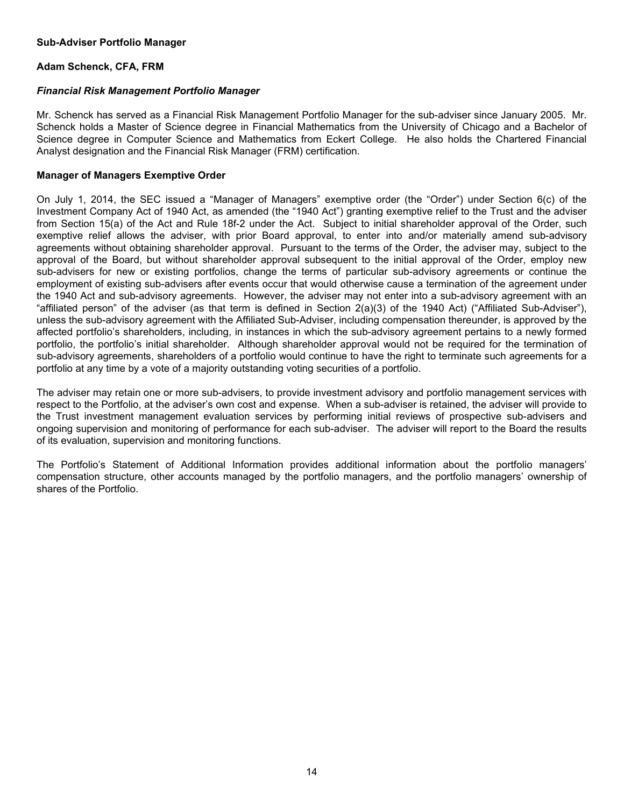#### **Sub-Adviser Portfolio Manager**

#### **Adam Schenck, CFA, FRM**

#### *Financial Risk Management Portfolio Manager*

Mr. Schenck has served as a Financial Risk Management Portfolio Manager for the sub-adviser since January 2005. Mr. Schenck holds a Master of Science degree in Financial Mathematics from the University of Chicago and a Bachelor of Science degree in Computer Science and Mathematics from Eckert College. He also holds the Chartered Financial Analyst designation and the Financial Risk Manager (FRM) certification.

#### **Manager of Managers Exemptive Order**

On July 1, 2014, the SEC issued a "Manager of Managers" exemptive order (the "Order") under Section 6(c) of the Investment Company Act of 1940 Act, as amended (the "1940 Act") granting exemptive relief to the Trust and the adviser from Section 15(a) of the Act and Rule 18f-2 under the Act. Subject to initial shareholder approval of the Order, such exemptive relief allows the adviser, with prior Board approval, to enter into and/or materially amend sub-advisory agreements without obtaining shareholder approval. Pursuant to the terms of the Order, the adviser may, subject to the approval of the Board, but without shareholder approval subsequent to the initial approval of the Order, employ new sub-advisers for new or existing portfolios, change the terms of particular sub-advisory agreements or continue the employment of existing sub-advisers after events occur that would otherwise cause a termination of the agreement under the 1940 Act and sub-advisory agreements. However, the adviser may not enter into a sub-advisory agreement with an "affiliated person" of the adviser (as that term is defined in Section 2(a)(3) of the 1940 Act) ("Affiliated Sub-Adviser"), unless the sub-advisory agreement with the Affiliated Sub-Adviser, including compensation thereunder, is approved by the affected portfolio's shareholders, including, in instances in which the sub-advisory agreement pertains to a newly formed portfolio, the portfolio's initial shareholder. Although shareholder approval would not be required for the termination of sub-advisory agreements, shareholders of a portfolio would continue to have the right to terminate such agreements for a portfolio at any time by a vote of a majority outstanding voting securities of a portfolio.

The adviser may retain one or more sub-advisers, to provide investment advisory and portfolio management services with respect to the Portfolio, at the adviser's own cost and expense. When a sub-adviser is retained, the adviser will provide to the Trust investment management evaluation services by performing initial reviews of prospective sub-advisers and ongoing supervision and monitoring of performance for each sub-adviser. The adviser will report to the Board the results of its evaluation, supervision and monitoring functions.

The Portfolio's Statement of Additional Information provides additional information about the portfolio managers' compensation structure, other accounts managed by the portfolio managers, and the portfolio managers' ownership of shares of the Portfolio.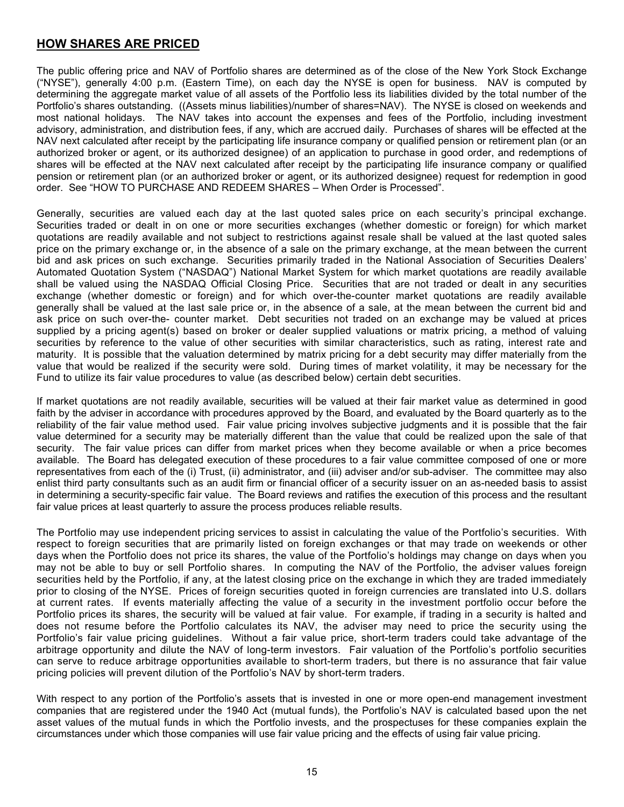# <span id="page-18-0"></span>**HOW SHARES ARE PRICED**

The public offering price and NAV of Portfolio shares are determined as of the close of the New York Stock Exchange ("NYSE"), generally 4:00 p.m. (Eastern Time), on each day the NYSE is open for business. NAV is computed by determining the aggregate market value of all assets of the Portfolio less its liabilities divided by the total number of the Portfolio's shares outstanding. ((Assets minus liabilities)/number of shares=NAV). The NYSE is closed on weekends and most national holidays. The NAV takes into account the expenses and fees of the Portfolio, including investment advisory, administration, and distribution fees, if any, which are accrued daily. Purchases of shares will be effected at the NAV next calculated after receipt by the participating life insurance company or qualified pension or retirement plan (or an authorized broker or agent, or its authorized designee) of an application to purchase in good order, and redemptions of shares will be effected at the NAV next calculated after receipt by the participating life insurance company or qualified pension or retirement plan (or an authorized broker or agent, or its authorized designee) request for redemption in good order. See "HOW TO PURCHASE AND REDEEM SHARES – When Order is Processed".

Generally, securities are valued each day at the last quoted sales price on each security's principal exchange. Securities traded or dealt in on one or more securities exchanges (whether domestic or foreign) for which market quotations are readily available and not subject to restrictions against resale shall be valued at the last quoted sales price on the primary exchange or, in the absence of a sale on the primary exchange, at the mean between the current bid and ask prices on such exchange. Securities primarily traded in the National Association of Securities Dealers' Automated Quotation System ("NASDAQ") National Market System for which market quotations are readily available shall be valued using the NASDAQ Official Closing Price. Securities that are not traded or dealt in any securities exchange (whether domestic or foreign) and for which over-the-counter market quotations are readily available generally shall be valued at the last sale price or, in the absence of a sale, at the mean between the current bid and ask price on such over-the- counter market. Debt securities not traded on an exchange may be valued at prices supplied by a pricing agent(s) based on broker or dealer supplied valuations or matrix pricing, a method of valuing securities by reference to the value of other securities with similar characteristics, such as rating, interest rate and maturity. It is possible that the valuation determined by matrix pricing for a debt security may differ materially from the value that would be realized if the security were sold. During times of market volatility, it may be necessary for the Fund to utilize its fair value procedures to value (as described below) certain debt securities.

If market quotations are not readily available, securities will be valued at their fair market value as determined in good faith by the adviser in accordance with procedures approved by the Board, and evaluated by the Board quarterly as to the reliability of the fair value method used. Fair value pricing involves subjective judgments and it is possible that the fair value determined for a security may be materially different than the value that could be realized upon the sale of that security. The fair value prices can differ from market prices when they become available or when a price becomes available. The Board has delegated execution of these procedures to a fair value committee composed of one or more representatives from each of the (i) Trust, (ii) administrator, and (iii) adviser and/or sub-adviser. The committee may also enlist third party consultants such as an audit firm or financial officer of a security issuer on an as-needed basis to assist in determining a security-specific fair value. The Board reviews and ratifies the execution of this process and the resultant fair value prices at least quarterly to assure the process produces reliable results.

The Portfolio may use independent pricing services to assist in calculating the value of the Portfolio's securities. With respect to foreign securities that are primarily listed on foreign exchanges or that may trade on weekends or other days when the Portfolio does not price its shares, the value of the Portfolio's holdings may change on days when you may not be able to buy or sell Portfolio shares. In computing the NAV of the Portfolio, the adviser values foreign securities held by the Portfolio, if any, at the latest closing price on the exchange in which they are traded immediately prior to closing of the NYSE. Prices of foreign securities quoted in foreign currencies are translated into U.S. dollars at current rates. If events materially affecting the value of a security in the investment portfolio occur before the Portfolio prices its shares, the security will be valued at fair value. For example, if trading in a security is halted and does not resume before the Portfolio calculates its NAV, the adviser may need to price the security using the Portfolio's fair value pricing guidelines. Without a fair value price, short-term traders could take advantage of the arbitrage opportunity and dilute the NAV of long-term investors. Fair valuation of the Portfolio's portfolio securities can serve to reduce arbitrage opportunities available to short-term traders, but there is no assurance that fair value pricing policies will prevent dilution of the Portfolio's NAV by short-term traders.

With respect to any portion of the Portfolio's assets that is invested in one or more open-end management investment companies that are registered under the 1940 Act (mutual funds), the Portfolio's NAV is calculated based upon the net asset values of the mutual funds in which the Portfolio invests, and the prospectuses for these companies explain the circumstances under which those companies will use fair value pricing and the effects of using fair value pricing.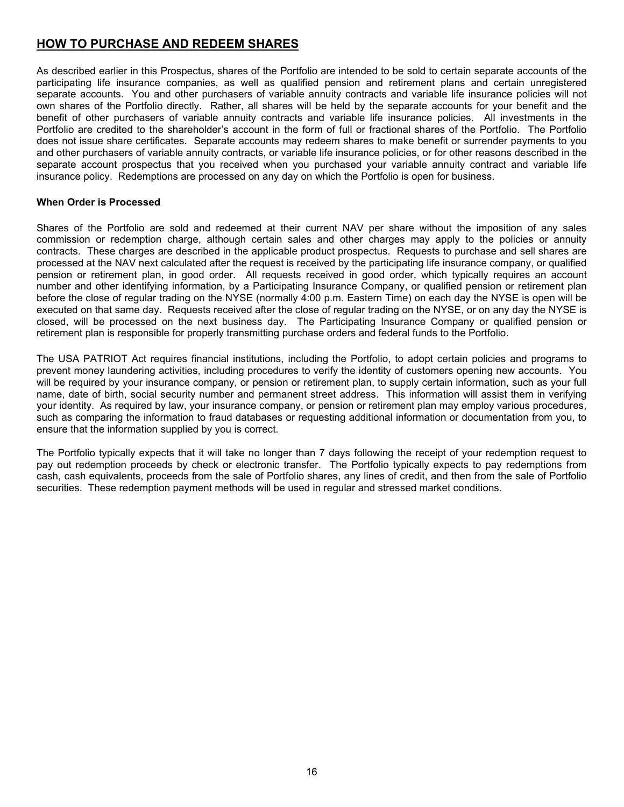# <span id="page-19-0"></span>**HOW TO PURCHASE AND REDEEM SHARES**

As described earlier in this Prospectus, shares of the Portfolio are intended to be sold to certain separate accounts of the participating life insurance companies, as well as qualified pension and retirement plans and certain unregistered separate accounts. You and other purchasers of variable annuity contracts and variable life insurance policies will not own shares of the Portfolio directly. Rather, all shares will be held by the separate accounts for your benefit and the benefit of other purchasers of variable annuity contracts and variable life insurance policies. All investments in the Portfolio are credited to the shareholder's account in the form of full or fractional shares of the Portfolio. The Portfolio does not issue share certificates. Separate accounts may redeem shares to make benefit or surrender payments to you and other purchasers of variable annuity contracts, or variable life insurance policies, or for other reasons described in the separate account prospectus that you received when you purchased your variable annuity contract and variable life insurance policy. Redemptions are processed on any day on which the Portfolio is open for business.

#### **When Order is Processed**

Shares of the Portfolio are sold and redeemed at their current NAV per share without the imposition of any sales commission or redemption charge, although certain sales and other charges may apply to the policies or annuity contracts. These charges are described in the applicable product prospectus. Requests to purchase and sell shares are processed at the NAV next calculated after the request is received by the participating life insurance company, or qualified pension or retirement plan, in good order. All requests received in good order, which typically requires an account number and other identifying information, by a Participating Insurance Company, or qualified pension or retirement plan before the close of regular trading on the NYSE (normally 4:00 p.m. Eastern Time) on each day the NYSE is open will be executed on that same day. Requests received after the close of regular trading on the NYSE, or on any day the NYSE is closed, will be processed on the next business day. The Participating Insurance Company or qualified pension or retirement plan is responsible for properly transmitting purchase orders and federal funds to the Portfolio.

The USA PATRIOT Act requires financial institutions, including the Portfolio, to adopt certain policies and programs to prevent money laundering activities, including procedures to verify the identity of customers opening new accounts. You will be required by your insurance company, or pension or retirement plan, to supply certain information, such as your full name, date of birth, social security number and permanent street address. This information will assist them in verifying your identity. As required by law, your insurance company, or pension or retirement plan may employ various procedures, such as comparing the information to fraud databases or requesting additional information or documentation from you, to ensure that the information supplied by you is correct.

The Portfolio typically expects that it will take no longer than 7 days following the receipt of your redemption request to pay out redemption proceeds by check or electronic transfer. The Portfolio typically expects to pay redemptions from cash, cash equivalents, proceeds from the sale of Portfolio shares, any lines of credit, and then from the sale of Portfolio securities. These redemption payment methods will be used in regular and stressed market conditions.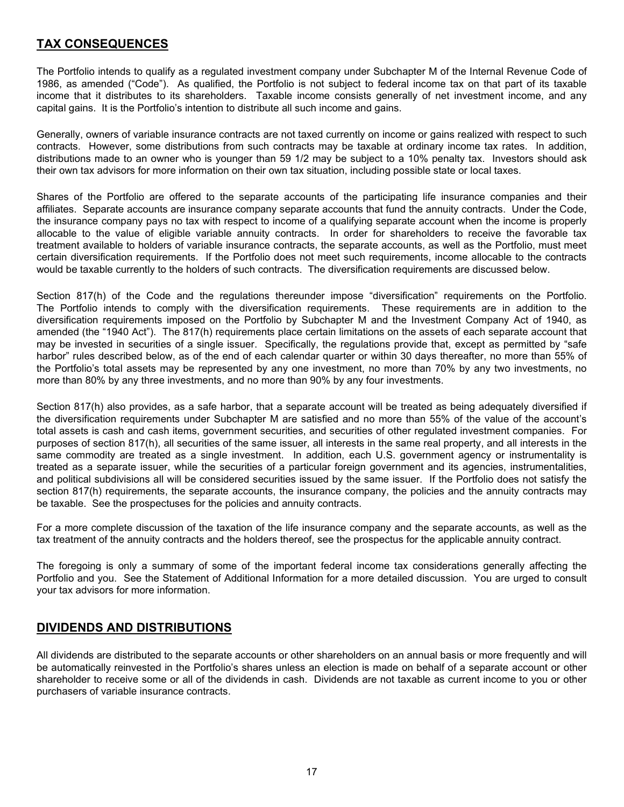# <span id="page-20-0"></span>**TAX CONSEQUENCES**

The Portfolio intends to qualify as a regulated investment company under Subchapter M of the Internal Revenue Code of 1986, as amended ("Code"). As qualified, the Portfolio is not subject to federal income tax on that part of its taxable income that it distributes to its shareholders. Taxable income consists generally of net investment income, and any capital gains. It is the Portfolio's intention to distribute all such income and gains.

Generally, owners of variable insurance contracts are not taxed currently on income or gains realized with respect to such contracts. However, some distributions from such contracts may be taxable at ordinary income tax rates. In addition, distributions made to an owner who is younger than 59 1/2 may be subject to a 10% penalty tax. Investors should ask their own tax advisors for more information on their own tax situation, including possible state or local taxes.

Shares of the Portfolio are offered to the separate accounts of the participating life insurance companies and their affiliates. Separate accounts are insurance company separate accounts that fund the annuity contracts. Under the Code, the insurance company pays no tax with respect to income of a qualifying separate account when the income is properly allocable to the value of eligible variable annuity contracts. In order for shareholders to receive the favorable tax treatment available to holders of variable insurance contracts, the separate accounts, as well as the Portfolio, must meet certain diversification requirements. If the Portfolio does not meet such requirements, income allocable to the contracts would be taxable currently to the holders of such contracts. The diversification requirements are discussed below.

Section 817(h) of the Code and the regulations thereunder impose "diversification" requirements on the Portfolio. The Portfolio intends to comply with the diversification requirements. These requirements are in addition to the diversification requirements imposed on the Portfolio by Subchapter M and the Investment Company Act of 1940, as amended (the "1940 Act"). The 817(h) requirements place certain limitations on the assets of each separate account that may be invested in securities of a single issuer. Specifically, the regulations provide that, except as permitted by "safe harbor" rules described below, as of the end of each calendar quarter or within 30 days thereafter, no more than 55% of the Portfolio's total assets may be represented by any one investment, no more than 70% by any two investments, no more than 80% by any three investments, and no more than 90% by any four investments.

Section 817(h) also provides, as a safe harbor, that a separate account will be treated as being adequately diversified if the diversification requirements under Subchapter M are satisfied and no more than 55% of the value of the account's total assets is cash and cash items, government securities, and securities of other regulated investment companies. For purposes of section 817(h), all securities of the same issuer, all interests in the same real property, and all interests in the same commodity are treated as a single investment. In addition, each U.S. government agency or instrumentality is treated as a separate issuer, while the securities of a particular foreign government and its agencies, instrumentalities, and political subdivisions all will be considered securities issued by the same issuer. If the Portfolio does not satisfy the section 817(h) requirements, the separate accounts, the insurance company, the policies and the annuity contracts may be taxable. See the prospectuses for the policies and annuity contracts.

For a more complete discussion of the taxation of the life insurance company and the separate accounts, as well as the tax treatment of the annuity contracts and the holders thereof, see the prospectus for the applicable annuity contract.

The foregoing is only a summary of some of the important federal income tax considerations generally affecting the Portfolio and you. See the Statement of Additional Information for a more detailed discussion. You are urged to consult your tax advisors for more information.

## <span id="page-20-1"></span>**DIVIDENDS AND DISTRIBUTIONS**

All dividends are distributed to the separate accounts or other shareholders on an annual basis or more frequently and will be automatically reinvested in the Portfolio's shares unless an election is made on behalf of a separate account or other shareholder to receive some or all of the dividends in cash. Dividends are not taxable as current income to you or other purchasers of variable insurance contracts.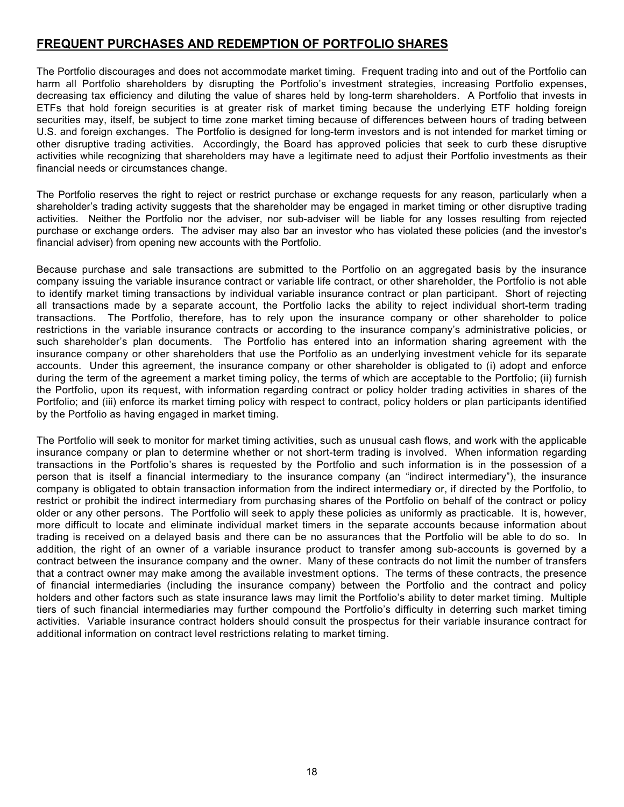# <span id="page-21-0"></span>**FREQUENT PURCHASES AND REDEMPTION OF PORTFOLIO SHARES**

The Portfolio discourages and does not accommodate market timing. Frequent trading into and out of the Portfolio can harm all Portfolio shareholders by disrupting the Portfolio's investment strategies, increasing Portfolio expenses, decreasing tax efficiency and diluting the value of shares held by long-term shareholders. A Portfolio that invests in ETFs that hold foreign securities is at greater risk of market timing because the underlying ETF holding foreign securities may, itself, be subject to time zone market timing because of differences between hours of trading between U.S. and foreign exchanges. The Portfolio is designed for long-term investors and is not intended for market timing or other disruptive trading activities. Accordingly, the Board has approved policies that seek to curb these disruptive activities while recognizing that shareholders may have a legitimate need to adjust their Portfolio investments as their financial needs or circumstances change.

The Portfolio reserves the right to reject or restrict purchase or exchange requests for any reason, particularly when a shareholder's trading activity suggests that the shareholder may be engaged in market timing or other disruptive trading activities. Neither the Portfolio nor the adviser, nor sub-adviser will be liable for any losses resulting from rejected purchase or exchange orders. The adviser may also bar an investor who has violated these policies (and the investor's financial adviser) from opening new accounts with the Portfolio.

Because purchase and sale transactions are submitted to the Portfolio on an aggregated basis by the insurance company issuing the variable insurance contract or variable life contract, or other shareholder, the Portfolio is not able to identify market timing transactions by individual variable insurance contract or plan participant. Short of rejecting all transactions made by a separate account, the Portfolio lacks the ability to reject individual short-term trading transactions. The Portfolio, therefore, has to rely upon the insurance company or other shareholder to police restrictions in the variable insurance contracts or according to the insurance company's administrative policies, or such shareholder's plan documents. The Portfolio has entered into an information sharing agreement with the insurance company or other shareholders that use the Portfolio as an underlying investment vehicle for its separate accounts. Under this agreement, the insurance company or other shareholder is obligated to (i) adopt and enforce during the term of the agreement a market timing policy, the terms of which are acceptable to the Portfolio; (ii) furnish the Portfolio, upon its request, with information regarding contract or policy holder trading activities in shares of the Portfolio; and (iii) enforce its market timing policy with respect to contract, policy holders or plan participants identified by the Portfolio as having engaged in market timing.

The Portfolio will seek to monitor for market timing activities, such as unusual cash flows, and work with the applicable insurance company or plan to determine whether or not short-term trading is involved. When information regarding transactions in the Portfolio's shares is requested by the Portfolio and such information is in the possession of a person that is itself a financial intermediary to the insurance company (an "indirect intermediary"), the insurance company is obligated to obtain transaction information from the indirect intermediary or, if directed by the Portfolio, to restrict or prohibit the indirect intermediary from purchasing shares of the Portfolio on behalf of the contract or policy older or any other persons. The Portfolio will seek to apply these policies as uniformly as practicable. It is, however, more difficult to locate and eliminate individual market timers in the separate accounts because information about trading is received on a delayed basis and there can be no assurances that the Portfolio will be able to do so. In addition, the right of an owner of a variable insurance product to transfer among sub-accounts is governed by a contract between the insurance company and the owner. Many of these contracts do not limit the number of transfers that a contract owner may make among the available investment options. The terms of these contracts, the presence of financial intermediaries (including the insurance company) between the Portfolio and the contract and policy holders and other factors such as state insurance laws may limit the Portfolio's ability to deter market timing. Multiple tiers of such financial intermediaries may further compound the Portfolio's difficulty in deterring such market timing activities. Variable insurance contract holders should consult the prospectus for their variable insurance contract for additional information on contract level restrictions relating to market timing.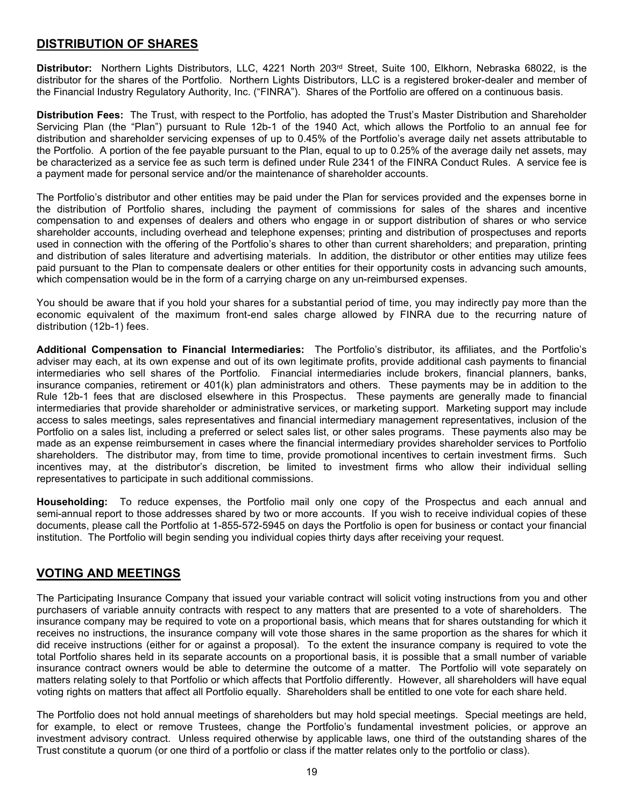# <span id="page-22-0"></span>**DISTRIBUTION OF SHARES**

<span id="page-22-1"></span>**Distributor:** Northern Lights Distributors, LLC, 4221 North 203rd Street, Suite 100, Elkhorn, Nebraska 68022, is the distributor for the shares of the Portfolio. Northern Lights Distributors, LLC is a registered broker-dealer and member of the Financial Industry Regulatory Authority, Inc. ("FINRA"). Shares of the Portfolio are offered on a continuous basis.

<span id="page-22-2"></span>**Distribution Fees:** The Trust, with respect to the Portfolio, has adopted the Trust's Master Distribution and Shareholder Servicing Plan (the "Plan") pursuant to Rule 12b-1 of the 1940 Act, which allows the Portfolio to an annual fee for distribution and shareholder servicing expenses of up to 0.45% of the Portfolio's average daily net assets attributable to the Portfolio. A portion of the fee payable pursuant to the Plan, equal to up to 0.25% of the average daily net assets, may be characterized as a service fee as such term is defined under Rule 2341 of the FINRA Conduct Rules. A service fee is a payment made for personal service and/or the maintenance of shareholder accounts.

The Portfolio's distributor and other entities may be paid under the Plan for services provided and the expenses borne in the distribution of Portfolio shares, including the payment of commissions for sales of the shares and incentive compensation to and expenses of dealers and others who engage in or support distribution of shares or who service shareholder accounts, including overhead and telephone expenses; printing and distribution of prospectuses and reports used in connection with the offering of the Portfolio's shares to other than current shareholders; and preparation, printing and distribution of sales literature and advertising materials. In addition, the distributor or other entities may utilize fees paid pursuant to the Plan to compensate dealers or other entities for their opportunity costs in advancing such amounts, which compensation would be in the form of a carrying charge on any un-reimbursed expenses.

You should be aware that if you hold your shares for a substantial period of time, you may indirectly pay more than the economic equivalent of the maximum front-end sales charge allowed by FINRA due to the recurring nature of distribution (12b-1) fees.

<span id="page-22-3"></span>**Additional Compensation to Financial Intermediaries:** The Portfolio's distributor, its affiliates, and the Portfolio's adviser may each, at its own expense and out of its own legitimate profits, provide additional cash payments to financial intermediaries who sell shares of the Portfolio. Financial intermediaries include brokers, financial planners, banks, insurance companies, retirement or 401(k) plan administrators and others. These payments may be in addition to the Rule 12b-1 fees that are disclosed elsewhere in this Prospectus. These payments are generally made to financial intermediaries that provide shareholder or administrative services, or marketing support. Marketing support may include access to sales meetings, sales representatives and financial intermediary management representatives, inclusion of the Portfolio on a sales list, including a preferred or select sales list, or other sales programs. These payments also may be made as an expense reimbursement in cases where the financial intermediary provides shareholder services to Portfolio shareholders. The distributor may, from time to time, provide promotional incentives to certain investment firms. Such incentives may, at the distributor's discretion, be limited to investment firms who allow their individual selling representatives to participate in such additional commissions.

<span id="page-22-4"></span>**Householding:** To reduce expenses, the Portfolio mail only one copy of the Prospectus and each annual and semi-annual report to those addresses shared by two or more accounts. If you wish to receive individual copies of these documents, please call the Portfolio at 1-855-572-5945 on days the Portfolio is open for business or contact your financial institution. The Portfolio will begin sending you individual copies thirty days after receiving your request.

# <span id="page-22-5"></span>**VOTING AND MEETINGS**

The Participating Insurance Company that issued your variable contract will solicit voting instructions from you and other purchasers of variable annuity contracts with respect to any matters that are presented to a vote of shareholders. The insurance company may be required to vote on a proportional basis, which means that for shares outstanding for which it receives no instructions, the insurance company will vote those shares in the same proportion as the shares for which it did receive instructions (either for or against a proposal). To the extent the insurance company is required to vote the total Portfolio shares held in its separate accounts on a proportional basis, it is possible that a small number of variable insurance contract owners would be able to determine the outcome of a matter. The Portfolio will vote separately on matters relating solely to that Portfolio or which affects that Portfolio differently. However, all shareholders will have equal voting rights on matters that affect all Portfolio equally. Shareholders shall be entitled to one vote for each share held.

The Portfolio does not hold annual meetings of shareholders but may hold special meetings. Special meetings are held, for example, to elect or remove Trustees, change the Portfolio's fundamental investment policies, or approve an investment advisory contract. Unless required otherwise by applicable laws, one third of the outstanding shares of the Trust constitute a quorum (or one third of a portfolio or class if the matter relates only to the portfolio or class).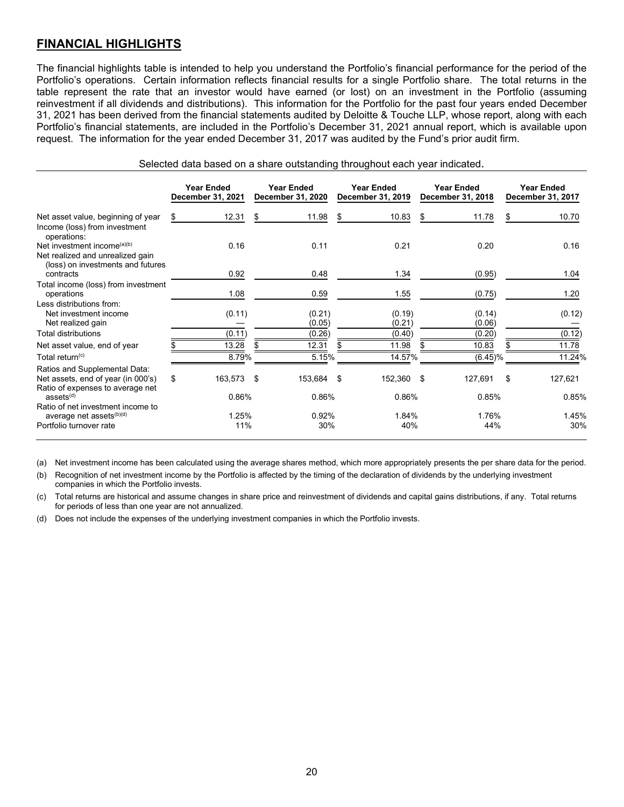# <span id="page-23-0"></span>**FINANCIAL HIGHLIGHTS**

The financial highlights table is intended to help you understand the Portfolio's financial performance for the period of the Portfolio's operations. Certain information reflects financial results for a single Portfolio share. The total returns in the table represent the rate that an investor would have earned (or lost) on an investment in the Portfolio (assuming reinvestment if all dividends and distributions). This information for the Portfolio for the past four years ended December 31, 2021 has been derived from the financial statements audited by Deloitte & Touche LLP, whose report, along with each Portfolio's financial statements, are included in the Portfolio's December 31, 2021 annual report, which is available upon request. The information for the year ended December 31, 2017 was audited by the Fund's prior audit firm.

| Selected data based on a share outstanding throughout each year indicated. |  |  |
|----------------------------------------------------------------------------|--|--|
|----------------------------------------------------------------------------|--|--|

|                                                                                                                  |    | <b>Year Ended</b><br>December 31, 2021 |     | <b>Year Ended</b><br>December 31, 2020 | <b>Year Ended</b><br>December 31, 2019 |     | <b>Year Ended</b><br>December 31, 2018 |    | <b>Year Ended</b><br>December 31, 2017 |
|------------------------------------------------------------------------------------------------------------------|----|----------------------------------------|-----|----------------------------------------|----------------------------------------|-----|----------------------------------------|----|----------------------------------------|
| Net asset value, beginning of year<br>Income (loss) from investment<br>operations:                               | S. | 12.31                                  | \$  | 11.98                                  | \$<br>10.83                            | \$  | 11.78                                  | S  | 10.70                                  |
| Net investment income <sup>(a)(b)</sup><br>Net realized and unrealized gain<br>(loss) on investments and futures |    | 0.16                                   |     | 0.11                                   | 0.21                                   |     | 0.20                                   |    | 0.16                                   |
| contracts                                                                                                        |    | 0.92                                   |     | 0.48                                   | 1.34                                   |     | (0.95)                                 |    | 1.04                                   |
| Total income (loss) from investment<br>operations                                                                |    | 1.08                                   |     | 0.59                                   | 1.55                                   |     | (0.75)                                 |    | 1.20                                   |
| Less distributions from:<br>Net investment income<br>Net realized gain                                           |    | (0.11)                                 |     | (0.21)<br>(0.05)                       | (0.19)<br>(0.21)                       |     | (0.14)<br>(0.06)                       |    | (0.12)                                 |
| <b>Total distributions</b>                                                                                       |    | (0.11)                                 |     | (0.26)                                 | (0.40)                                 |     | (0.20)                                 |    | (0.12)                                 |
| Net asset value, end of year                                                                                     |    | 13.28                                  | \$. | 12.31                                  | \$<br>11.98                            | \$. | 10.83                                  | \$ | 11.78                                  |
| Total return <sup>(c)</sup>                                                                                      |    | 8.79%                                  |     | 5.15%                                  | 14.57%                                 |     | $(6.45)\%$                             |    | 11.24%                                 |
| Ratios and Supplemental Data:<br>Net assets, end of year (in 000's)<br>Ratio of expenses to average net          | \$ | 163,573 \$                             |     | 153,684 \$                             | 152,360 \$                             |     | 127,691                                | \$ | 127,621                                |
| ases <sup>(d)</sup>                                                                                              |    | 0.86%                                  |     | 0.86%                                  | 0.86%                                  |     | 0.85%                                  |    | 0.85%                                  |
| Ratio of net investment income to<br>average net assets <sup>(b)(d)</sup><br>Portfolio turnover rate             |    | 1.25%<br>11%                           |     | 0.92%<br>30%                           | 1.84%<br>40%                           |     | 1.76%<br>44%                           |    | 1.45%<br>30%                           |

(a) Net investment income has been calculated using the average shares method, which more appropriately presents the per share data for the period.

(b) Recognition of net investment income by the Portfolio is affected by the timing of the declaration of dividends by the underlying investment companies in which the Portfolio invests.

(c) Total returns are historical and assume changes in share price and reinvestment of dividends and capital gains distributions, if any. Total returns for periods of less than one year are not annualized.

(d) Does not include the expenses of the underlying investment companies in which the Portfolio invests.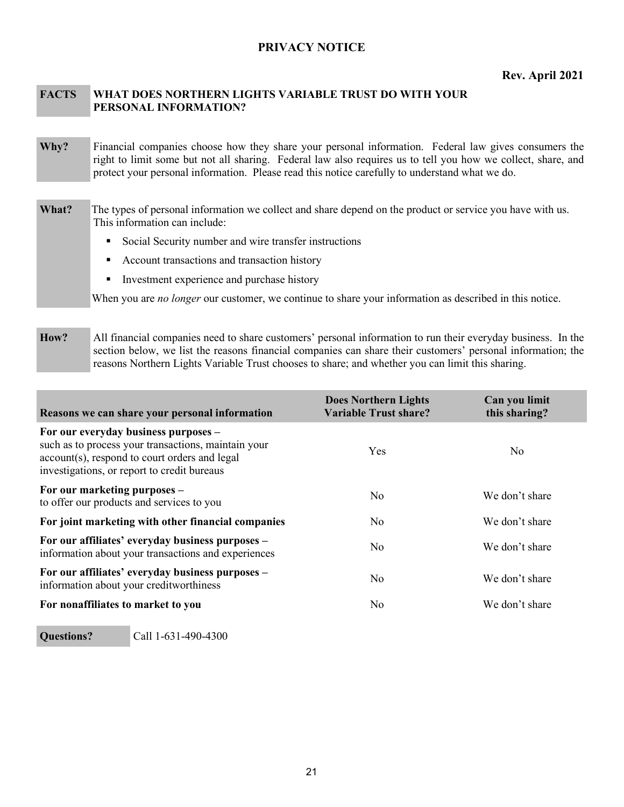### <span id="page-24-0"></span>**PRIVACY NOTICE**

#### **FACTS WHAT DOES NORTHERN LIGHTS VARIABLE TRUST DO WITH YOUR PERSONAL INFORMATION?**

- **Why?** Financial companies choose how they share your personal information. Federal law gives consumers the right to limit some but not all sharing. Federal law also requires us to tell you how we collect, share, and protect your personal information. Please read this notice carefully to understand what we do.
- **What?** The types of personal information we collect and share depend on the product or service you have with us. This information can include:
	- Social Security number and wire transfer instructions
	- Account transactions and transaction history
	- Investment experience and purchase history

When you are *no longer* our customer, we continue to share your information as described in this notice.

**How?** All financial companies need to share customers' personal information to run their everyday business. In the section below, we list the reasons financial companies can share their customers' personal information; the reasons Northern Lights Variable Trust chooses to share; and whether you can limit this sharing.

| Reasons we can share your personal information                                                                                                                                              | <b>Does Northern Lights</b><br>Variable Trust share? | Can you limit<br>this sharing? |
|---------------------------------------------------------------------------------------------------------------------------------------------------------------------------------------------|------------------------------------------------------|--------------------------------|
| For our everyday business purposes –<br>such as to process your transactions, maintain your<br>account(s), respond to court orders and legal<br>investigations, or report to credit bureaus | Yes                                                  | N <sub>o</sub>                 |
| For our marketing purposes –<br>to offer our products and services to you                                                                                                                   | N <sub>o</sub>                                       | We don't share                 |
| For joint marketing with other financial companies                                                                                                                                          | No.                                                  | We don't share                 |
| For our affiliates' everyday business purposes –<br>information about your transactions and experiences                                                                                     | N <sub>0</sub>                                       | We don't share                 |
| For our affiliates' everyday business purposes –<br>information about your creditworthiness                                                                                                 | N <sub>0</sub>                                       | We don't share                 |
| For nonaffiliates to market to you                                                                                                                                                          | No.                                                  | We don't share                 |

# **Questions?** Call 1-631-490-4300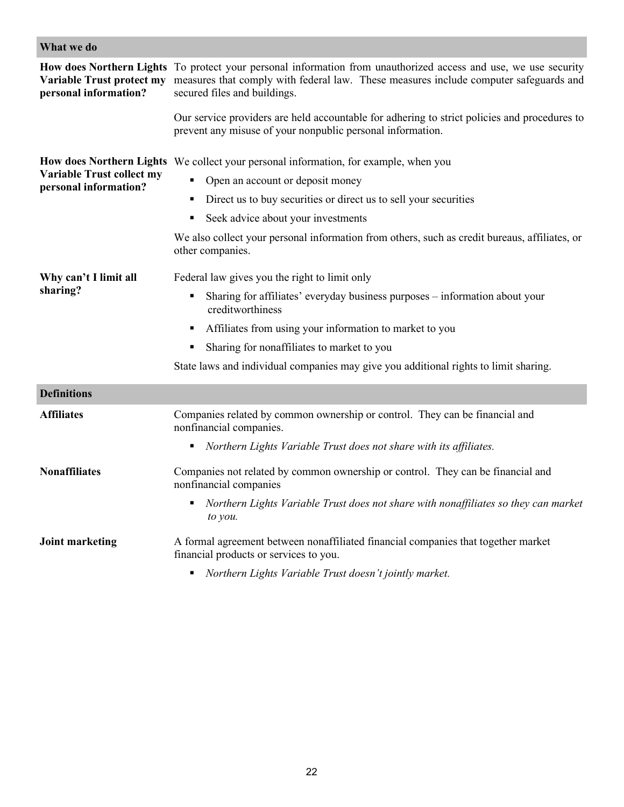| What we do                                         |                                                                                                                                                                                                                                          |  |  |  |
|----------------------------------------------------|------------------------------------------------------------------------------------------------------------------------------------------------------------------------------------------------------------------------------------------|--|--|--|
| Variable Trust protect my<br>personal information? | How does Northern Lights To protect your personal information from unauthorized access and use, we use security<br>measures that comply with federal law. These measures include computer safeguards and<br>secured files and buildings. |  |  |  |
|                                                    | Our service providers are held accountable for adhering to strict policies and procedures to<br>prevent any misuse of your nonpublic personal information.                                                                               |  |  |  |
|                                                    | How does Northern Lights We collect your personal information, for example, when you                                                                                                                                                     |  |  |  |
| Variable Trust collect my<br>personal information? | Open an account or deposit money                                                                                                                                                                                                         |  |  |  |
|                                                    | Direct us to buy securities or direct us to sell your securities                                                                                                                                                                         |  |  |  |
|                                                    | Seek advice about your investments                                                                                                                                                                                                       |  |  |  |
|                                                    | We also collect your personal information from others, such as credit bureaus, affiliates, or<br>other companies.                                                                                                                        |  |  |  |
| Why can't I limit all                              | Federal law gives you the right to limit only                                                                                                                                                                                            |  |  |  |
| sharing?                                           | Sharing for affiliates' everyday business purposes - information about your<br>٠<br>creditworthiness                                                                                                                                     |  |  |  |
|                                                    | Affiliates from using your information to market to you<br>٠                                                                                                                                                                             |  |  |  |
|                                                    | Sharing for nonaffiliates to market to you<br>٠                                                                                                                                                                                          |  |  |  |
|                                                    | State laws and individual companies may give you additional rights to limit sharing.                                                                                                                                                     |  |  |  |
| <b>Definitions</b>                                 |                                                                                                                                                                                                                                          |  |  |  |
| <b>Affiliates</b>                                  | Companies related by common ownership or control. They can be financial and<br>nonfinancial companies.                                                                                                                                   |  |  |  |
|                                                    | Northern Lights Variable Trust does not share with its affiliates.                                                                                                                                                                       |  |  |  |
| <b>Nonaffiliates</b>                               | Companies not related by common ownership or control. They can be financial and<br>nonfinancial companies                                                                                                                                |  |  |  |
|                                                    | Northern Lights Variable Trust does not share with nonaffiliates so they can market<br>to you.                                                                                                                                           |  |  |  |
| <b>Joint marketing</b>                             | A formal agreement between nonaffiliated financial companies that together market<br>financial products or services to you.                                                                                                              |  |  |  |
|                                                    | Northern Lights Variable Trust doesn't jointly market.                                                                                                                                                                                   |  |  |  |